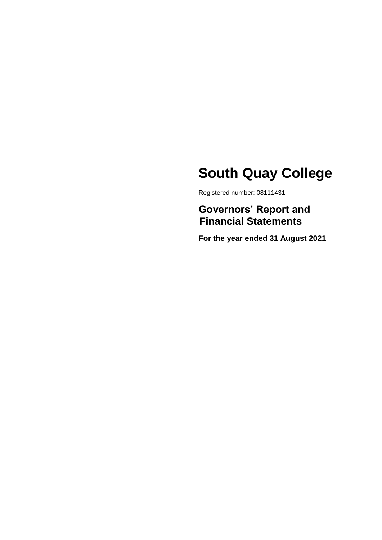Registered number: 08111431

## **Governors' Report and Financial Statements**

**For the year ended 31 August 2021**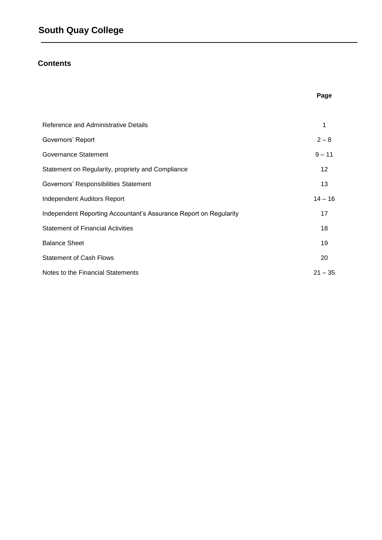## **Contents**

| Reference and Administrative Details                              | 1         |
|-------------------------------------------------------------------|-----------|
| Governors' Report                                                 | $2 - 8$   |
| Governance Statement                                              | $9 - 11$  |
| Statement on Regularity, propriety and Compliance                 | 12        |
| Governors' Responsibilities Statement                             | 13        |
| <b>Independent Auditors Report</b>                                | $14 - 16$ |
| Independent Reporting Accountant's Assurance Report on Regularity | 17        |
| <b>Statement of Financial Activities</b>                          | 18        |
| <b>Balance Sheet</b>                                              | 19        |
| <b>Statement of Cash Flows</b>                                    | 20        |
| Notes to the Financial Statements                                 | $21 - 35$ |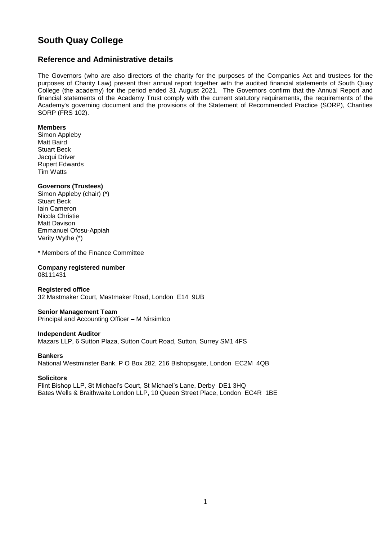### **Reference and Administrative details**

The Governors (who are also directors of the charity for the purposes of the Companies Act and trustees for the purposes of Charity Law) present their annual report together with the audited financial statements of South Quay College (the academy) for the period ended 31 August 2021. The Governors confirm that the Annual Report and financial statements of the Academy Trust comply with the current statutory requirements, the requirements of the Academy's governing document and the provisions of the Statement of Recommended Practice (SORP), Charities SORP (FRS 102).

#### **Members**

Simon Appleby Matt Baird Stuart Beck Jacqui Driver Rupert Edwards Tim Watts

#### **Governors (Trustees)**

Simon Appleby (chair) (\*) Stuart Beck Iain Cameron Nicola Christie Matt Davison Emmanuel Ofosu-Appiah Verity Wythe (\*)

\* Members of the Finance Committee

#### **Company registered number**  08111431

**Registered office**  32 Mastmaker Court, Mastmaker Road, London E14 9UB

## **Senior Management Team**

Principal and Accounting Officer – M Nirsimloo

#### **Independent Auditor**

Mazars LLP, 6 Sutton Plaza, Sutton Court Road, Sutton, Surrey SM1 4FS

#### **Bankers**

National Westminster Bank, P O Box 282, 216 Bishopsgate, London EC2M 4QB

### **Solicitors**

Flint Bishop LLP, St Michael's Court, St Michael's Lane, Derby DE1 3HQ Bates Wells & Braithwaite London LLP, 10 Queen Street Place, London EC4R 1BE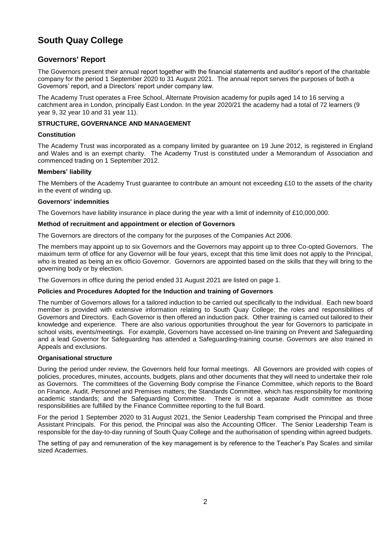### **Governors' Report**

The Governors present their annual report together with the financial statements and auditor's report of the charitable company for the period 1 September 2020 to 31 August 2021. The annual report serves the purposes of both a Governors' report, and a Directors' report under company law.

The Academy Trust operates a Free School, Alternate Provision academy for pupils aged 14 to 16 serving a catchment area in London, principally East London. In the year 2020/21 the academy had a total of 72 learners (9 year 9, 32 year 10 and 31 year 11).

### **STRUCTURE, GOVERNANCE AND MANAGEMENT**

#### **Constitution**

The Academy Trust was incorporated as a company limited by guarantee on 19 June 2012, is registered in England and Wales and is an exempt charity. The Academy Trust is constituted under a Memorandum of Association and commenced trading on 1 September 2012.

#### **Members' liability**

The Members of the Academy Trust guarantee to contribute an amount not exceeding £10 to the assets of the charity in the event of winding up.

#### **Governors' indemnities**

The Governors have liability insurance in place during the year with a limit of indemnity of £10,000,000.

#### **Method of recruitment and appointment or election of Governors**

The Governors are directors of the company for the purposes of the Companies Act 2006.

The members may appoint up to six Governors and the Governors may appoint up to three Co-opted Governors. The maximum term of office for any Governor will be four years, except that this time limit does not apply to the Principal, who is treated as being an ex officio Governor. Governors are appointed based on the skills that they will bring to the governing body or by election.

The Governors in office during the period ended 31 August 2021 are listed on page 1.

### **Policies and Procedures Adopted for the Induction and training of Governors**

The number of Governors allows for a tailored induction to be carried out specifically to the individual. Each new board member is provided with extensive information relating to South Quay College; the roles and responsibilities of Governors and Directors. Each Governor is then offered an induction pack. Other training is carried out tailored to their knowledge and experience. There are also various opportunities throughout the year for Governors to participate in school visits, events/meetings. For example, Governors have accessed on-line training on Prevent and Safeguarding and a lead Governor for Safeguarding has attended a Safeguarding-training course. Governors are also trained in Appeals and exclusions.

### **Organisational structure**

During the period under review, the Governors held four formal meetings. All Governors are provided with copies of policies, procedures, minutes, accounts, budgets, plans and other documents that they will need to undertake their role as Governors. The committees of the Governing Body comprise the Finance Committee, which reports to the Board on Finance, Audit, Personnel and Premises matters; the Standards Committee, which has responsibility for monitoring academic standards; and the Safeguarding Committee. There is not a separate Audit committee as those responsibilities are fulfilled by the Finance Committee reporting to the full Board.

For the period 1 September 2020 to 31 August 2021, the Senior Leadership Team comprised the Principal and three Assistant Principals. For this period, the Principal was also the Accounting Officer. The Senior Leadership Team is responsible for the day-to-day running of South Quay College and the authorisation of spending within agreed budgets.

The setting of pay and remuneration of the key management is by reference to the Teacher's Pay Scales and similar sized Academies.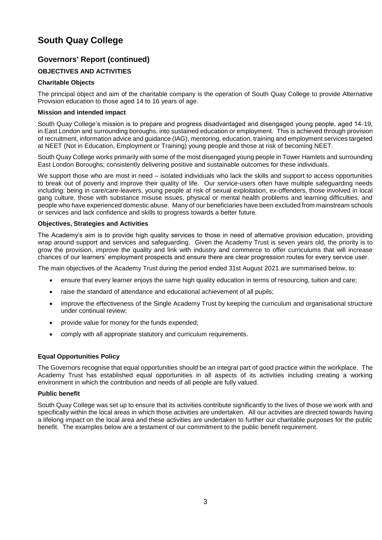### **Governors' Report (continued)**

### **OBJECTIVES AND ACTIVITIES**

### **Charitable Objects**

The principal object and aim of the charitable company is the operation of South Quay College to provide Alternative Provision education to those aged 14 to 16 years of age.

### **Mission and intended impact**

South Quay College's mission is to prepare and progress disadvantaged and disengaged young people, aged 14-19, in East London and surrounding boroughs, into sustained education or employment. This is achieved through provision of recruitment, information advice and guidance (IAG), mentoring, education, training and employment services targeted at NEET (Not in Education, Employment or Training) young people and those at risk of becoming NEET.

South Quay College works primarily with some of the most disengaged young people in Tower Hamlets and surrounding East London Boroughs; consistently delivering positive and sustainable outcomes for these individuals.

We support those who are most in need – isolated individuals who lack the skills and support to access opportunities to break out of poverty and improve their quality of life. Our service-users often have multiple safeguarding needs including: being in care/care-leavers, young people at risk of sexual exploitation, ex-offenders, those involved in local gang culture, those with substance misuse issues, physical or mental health problems and learning difficulties, and people who have experienced domestic abuse. Many of our beneficiaries have been excluded from mainstream schools or services and lack confidence and skills to progress towards a better future.

#### **Objectives, Strategies and Activities**

The Academy's aim is to provide high quality services to those in need of alternative provision education, providing wrap around support and services and safeguarding. Given the Academy Trust is seven years old, the priority is to grow the provision, improve the quality and link with industry and commerce to offer curriculums that will increase chances of our learners' employment prospects and ensure there are clear progression routes for every service user.

The main objectives of the Academy Trust during the period ended 31st August 2021 are summarised below, to:

- ensure that every learner enjoys the same high quality education in terms of resourcing, tuition and care;
- raise the standard of attendance and educational achievement of all pupils;
- improve the effectiveness of the Single Academy Trust by keeping the curriculum and organisational structure under continual review;
- provide value for money for the funds expended;
- comply with all appropriate statutory and curriculum requirements.

### **Equal Opportunities Policy**

The Governors recognise that equal opportunities should be an integral part of good practice within the workplace. The Academy Trust has established equal opportunities in all aspects of its activities including creating a working environment in which the contribution and needs of all people are fully valued.

### **Public benefit**

South Quay College was set up to ensure that its activities contribute significantly to the lives of those we work with and specifically within the local areas in which those activities are undertaken. All our activities are directed towards having a lifelong impact on the local area and these activities are undertaken to further our charitable purposes for the public benefit. The examples below are a testament of our commitment to the public benefit requirement.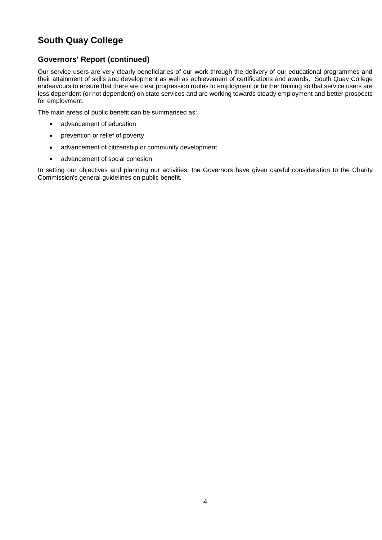### **Governors' Report (continued)**

Our service users are very clearly beneficiaries of our work through the delivery of our educational programmes and their attainment of skills and development as well as achievement of certifications and awards. South Quay College endeavours to ensure that there are clear progression routes to employment or further training so that service users are less dependent (or not dependent) on state services and are working towards steady employment and better prospects for employment.

The main areas of public benefit can be summarised as:

- advancement of education
- prevention or relief of poverty
- advancement of citizenship or community development
- advancement of social cohesion

In setting our objectives and planning our activities, the Governors have given careful consideration to the Charity Commission's general guidelines on public benefit.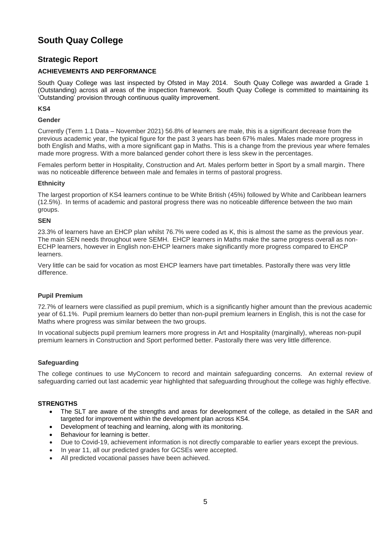### **Strategic Report**

### **ACHIEVEMENTS AND PERFORMANCE**

South Quay College was last inspected by Ofsted in May 2014. South Quay College was awarded a Grade 1 (Outstanding) across all areas of the inspection framework. South Quay College is committed to maintaining its 'Outstanding' provision through continuous quality improvement.

#### **KS4**

#### **Gender**

Currently (Term 1.1 Data – November 2021) 56.8% of learners are male, this is a significant decrease from the previous academic year, the typical figure for the past 3 years has been 67% males. Males made more progress in both English and Maths, with a more significant gap in Maths. This is a change from the previous year where females made more progress. With a more balanced gender cohort there is less skew in the percentages.

Females perform better in Hospitality, Construction and Art. Males perform better in Sport by a small margin. There was no noticeable difference between male and females in terms of pastoral progress.

#### **Ethnicity**

The largest proportion of KS4 learners continue to be White British (45%) followed by White and Caribbean learners (12.5%). In terms of academic and pastoral progress there was no noticeable difference between the two main groups.

#### **SEN**

23.3% of learners have an EHCP plan whilst 76.7% were coded as K, this is almost the same as the previous year. The main SEN needs throughout were SEMH. EHCP learners in Maths make the same progress overall as non-ECHP learners, however in English non-EHCP learners make significantly more progress compared to EHCP learners.

Very little can be said for vocation as most EHCP learners have part timetables. Pastorally there was very little difference.

### **Pupil Premium**

72.7% of learners were classified as pupil premium, which is a significantly higher amount than the previous academic year of 61.1%. Pupil premium learners do better than non-pupil premium learners in English, this is not the case for Maths where progress was similar between the two groups.

In vocational subjects pupil premium learners more progress in Art and Hospitality (marginally), whereas non-pupil premium learners in Construction and Sport performed better. Pastorally there was very little difference.

### **Safeguarding**

The college continues to use MyConcern to record and maintain safeguarding concerns. An external review of safeguarding carried out last academic year highlighted that safeguarding throughout the college was highly effective.

#### **STRENGTHS**

- The SLT are aware of the strengths and areas for development of the college, as detailed in the SAR and targeted for improvement within the development plan across KS4.
- Development of teaching and learning, along with its monitoring.
- Behaviour for learning is better.
- Due to Covid-19, achievement information is not directly comparable to earlier years except the previous.
- In year 11, all our predicted grades for GCSEs were accepted.
- All predicted vocational passes have been achieved.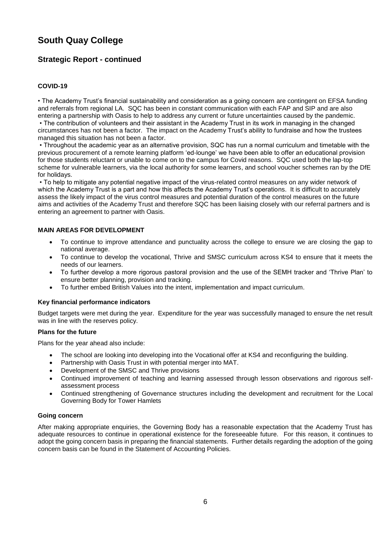### **Strategic Report - continued**

### **COVID-19**

• The Academy Trust's financial sustainability and consideration as a going concern are contingent on EFSA funding and referrals from regional LA. SQC has been in constant communication with each FAP and SIP and are also entering a partnership with Oasis to help to address any current or future uncertainties caused by the pandemic.

• The contribution of volunteers and their assistant in the Academy Trust in its work in managing in the changed circumstances has not been a factor. The impact on the Academy Trust's ability to fundraise and how the trustees managed this situation has not been a factor.

• Throughout the academic year as an alternative provision, SQC has run a normal curriculum and timetable with the previous procurement of a remote learning platform 'ed-lounge' we have been able to offer an educational provision for those students reluctant or unable to come on to the campus for Covid reasons. SQC used both the lap-top scheme for vulnerable learners, via the local authority for some learners, and school voucher schemes ran by the DfE for holidays.

• To help to mitigate any potential negative impact of the virus-related control measures on any wider network of which the Academy Trust is a part and how this affects the Academy Trust's operations. It is difficult to accurately assess the likely impact of the virus control measures and potential duration of the control measures on the future aims and activities of the Academy Trust and therefore SQC has been liaising closely with our referral partners and is entering an agreement to partner with Oasis.

#### **MAIN AREAS FOR DEVELOPMENT**

- To continue to improve attendance and punctuality across the college to ensure we are closing the gap to national average.
- To continue to develop the vocational, Thrive and SMSC curriculum across KS4 to ensure that it meets the needs of our learners.
- To further develop a more rigorous pastoral provision and the use of the SEMH tracker and 'Thrive Plan' to ensure better planning, provision and tracking.
- To further embed British Values into the intent, implementation and impact curriculum.

#### **Key financial performance indicators**

Budget targets were met during the year. Expenditure for the year was successfully managed to ensure the net result was in line with the reserves policy.

#### **Plans for the future**

Plans for the year ahead also include:

- The school are looking into developing into the Vocational offer at KS4 and reconfiguring the building.
- Partnership with Oasis Trust in with potential merger into MAT.
- Development of the SMSC and Thrive provisions
- Continued improvement of teaching and learning assessed through lesson observations and rigorous selfassessment process
- Continued strengthening of Governance structures including the development and recruitment for the Local Governing Body for Tower Hamlets

#### **Going concern**

After making appropriate enquiries, the Governing Body has a reasonable expectation that the Academy Trust has adequate resources to continue in operational existence for the foreseeable future. For this reason, it continues to adopt the going concern basis in preparing the financial statements. Further details regarding the adoption of the going concern basis can be found in the Statement of Accounting Policies.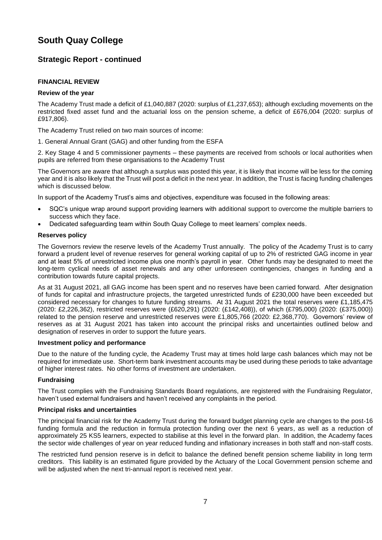### **Strategic Report - continued**

#### **FINANCIAL REVIEW**

#### **Review of the year**

The Academy Trust made a deficit of £1,040,887 (2020: surplus of £1,237,653); although excluding movements on the restricted fixed asset fund and the actuarial loss on the pension scheme, a deficit of £676,004 (2020: surplus of £917,806).

The Academy Trust relied on two main sources of income:

1. General Annual Grant (GAG) and other funding from the ESFA

2. Key Stage 4 and 5 commissioner payments – these payments are received from schools or local authorities when pupils are referred from these organisations to the Academy Trust

The Governors are aware that although a surplus was posted this year, it is likely that income will be less for the coming year and it is also likely that the Trust will post a deficit in the next year. In addition, the Trust is facing funding challenges which is discussed below.

In support of the Academy Trust's aims and objectives, expenditure was focused in the following areas:

- SQC's unique wrap around support providing learners with additional support to overcome the multiple barriers to success which they face.
- Dedicated safeguarding team within South Quay College to meet learners' complex needs.

#### **Reserves policy**

The Governors review the reserve levels of the Academy Trust annually. The policy of the Academy Trust is to carry forward a prudent level of revenue reserves for general working capital of up to 2% of restricted GAG income in year and at least 5% of unrestricted income plus one month's payroll in year. Other funds may be designated to meet the long-term cyclical needs of asset renewals and any other unforeseen contingencies, changes in funding and a contribution towards future capital projects.

As at 31 August 2021, all GAG income has been spent and no reserves have been carried forward. After designation of funds for capital and infrastructure projects, the targeted unrestricted funds of £230,000 have been exceeded but considered necessary for changes to future funding streams. At 31 August 2021 the total reserves were £1,185,475 (2020: £2,226,362), restricted reserves were (£620,291) (2020: (£142,408)), of which (£795,000) (2020: (£375,000)) related to the pension reserve and unrestricted reserves were £1,805,766 (2020: £2,368,770). Governors' review of reserves as at 31 August 2021 has taken into account the principal risks and uncertainties outlined below and designation of reserves in order to support the future years.

#### **Investment policy and performance**

Due to the nature of the funding cycle, the Academy Trust may at times hold large cash balances which may not be required for immediate use. Short-term bank investment accounts may be used during these periods to take advantage of higher interest rates. No other forms of investment are undertaken.

#### **Fundraising**

The Trust complies with the Fundraising Standards Board regulations, are registered with the Fundraising Regulator, haven't used external fundraisers and haven't received any complaints in the period.

#### **Principal risks and uncertainties**

The principal financial risk for the Academy Trust during the forward budget planning cycle are changes to the post-16 funding formula and the reduction in formula protection funding over the next 6 years, as well as a reduction of approximately 25 KS5 learners, expected to stabilise at this level in the forward plan. In addition, the Academy faces the sector wide challenges of year on year reduced funding and inflationary increases in both staff and non-staff costs.

The restricted fund pension reserve is in deficit to balance the defined benefit pension scheme liability in long term creditors. This liability is an estimated figure provided by the Actuary of the Local Government pension scheme and will be adjusted when the next tri-annual report is received next year.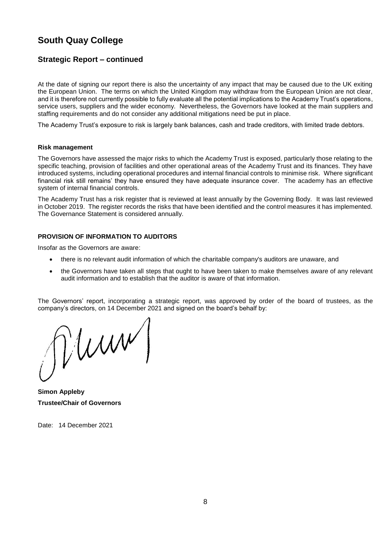### **Strategic Report – continued**

At the date of signing our report there is also the uncertainty of any impact that may be caused due to the UK exiting the European Union. The terms on which the United Kingdom may withdraw from the European Union are not clear, and it is therefore not currently possible to fully evaluate all the potential implications to the Academy Trust's operations, service users, suppliers and the wider economy. Nevertheless, the Governors have looked at the main suppliers and staffing requirements and do not consider any additional mitigations need be put in place.

The Academy Trust's exposure to risk is largely bank balances, cash and trade creditors, with limited trade debtors.

#### **Risk management**

The Governors have assessed the major risks to which the Academy Trust is exposed, particularly those relating to the specific teaching, provision of facilities and other operational areas of the Academy Trust and its finances. They have introduced systems, including operational procedures and internal financial controls to minimise risk. Where significant financial risk still remains' they have ensured they have adequate insurance cover. The academy has an effective system of internal financial controls.

The Academy Trust has a risk register that is reviewed at least annually by the Governing Body. It was last reviewed in October 2019. The register records the risks that have been identified and the control measures it has implemented. The Governance Statement is considered annually.

#### **PROVISION OF INFORMATION TO AUDITORS**

Insofar as the Governors are aware:

- there is no relevant audit information of which the charitable company's auditors are unaware, and
- the Governors have taken all steps that ought to have been taken to make themselves aware of any relevant audit information and to establish that the auditor is aware of that information.

The Governors' report, incorporating a strategic report, was approved by order of the board of trustees, as the company's directors, on 14 December 2021 and signed on the board's behalf by:

 $\text{num}$ 

**Simon Appleby Trustee/Chair of Governors**

Date: 14 December 2021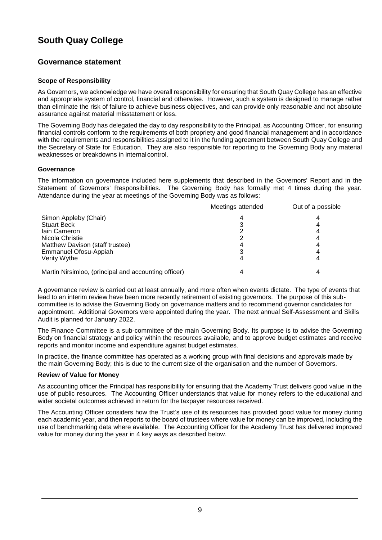### **Governance statement**

### **Scope of Responsibility**

As Governors, we acknowledge we have overall responsibility for ensuring that South Quay College has an effective and appropriate system of control, financial and otherwise. However, such a system is designed to manage rather than eliminate the risk of failure to achieve business objectives, and can provide only reasonable and not absolute assurance against material misstatement or loss.

The Governing Body has delegated the day to day responsibility to the Principal, as Accounting Officer, for ensuring financial controls conform to the requirements of both propriety and good financial management and in accordance with the requirements and responsibilities assigned to it in the funding agreement between South Quay College and the Secretary of State for Education. They are also responsible for reporting to the Governing Body any material weaknesses or breakdowns in internalcontrol.

### **Governance**

The information on governance included here supplements that described in the Governors' Report and in the Statement of Governors' Responsibilities. The Governing Body has formally met 4 times during the year. Attendance during the year at meetings of the Governing Body was as follows:

|                                                      | Meetings attended | Out of a possible |
|------------------------------------------------------|-------------------|-------------------|
| Simon Appleby (Chair)                                |                   |                   |
| <b>Stuart Beck</b>                                   |                   |                   |
| Jain Cameron                                         |                   |                   |
| Nicola Christie                                      |                   |                   |
| Matthew Davison (staff trustee)                      |                   |                   |
| Emmanuel Ofosu-Appiah                                |                   |                   |
| Verity Wythe                                         |                   |                   |
| Martin Nirsimloo, (principal and accounting officer) |                   |                   |

A governance review is carried out at least annually, and more often when events dictate. The type of events that lead to an interim review have been more recently retirement of existing governors. The purpose of this subcommittee is to advise the Governing Body on governance matters and to recommend governor candidates for appointment. Additional Governors were appointed during the year. The next annual Self-Assessment and Skills Audit is planned for January 2022.

The Finance Committee is a sub-committee of the main Governing Body. Its purpose is to advise the Governing Body on financial strategy and policy within the resources available, and to approve budget estimates and receive reports and monitor income and expenditure against budget estimates.

In practice, the finance committee has operated as a working group with final decisions and approvals made by the main Governing Body; this is due to the current size of the organisation and the number of Governors.

### **Review of Value for Money**

As accounting officer the Principal has responsibility for ensuring that the Academy Trust delivers good value in the use of public resources. The Accounting Officer understands that value for money refers to the educational and wider societal outcomes achieved in return for the taxpayer resources received.

The Accounting Officer considers how the Trust's use of its resources has provided good value for money during each academic year, and then reports to the board of trustees where value for money can be improved, including the use of benchmarking data where available. The Accounting Officer for the Academy Trust has delivered improved value for money during the year in 4 key ways as described below.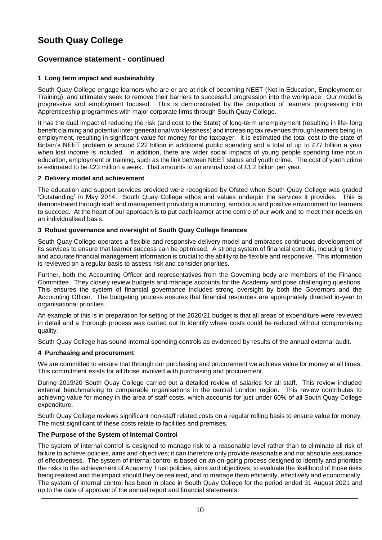### **Governance statement - continued**

### **1 Long term impact and sustainability**

South Quay College engage learners who are or are at risk of becoming NEET (Not in Education, Employment or Training), and ultimately seek to remove their barriers to successful progression into the workplace. Our model is progressive and employment focused. This is demonstrated by the proportion of learners progressing into Apprenticeship programmes with major corporate firms through South Quay College.

It has the dual impact of reducing the risk (and cost to the State) of long-term unemployment (resulting in life- long benefit claiming and potential inter-generational worklessness) and increasing tax revenues through learners being in employment, resulting in significant value for money for the taxpayer. It is estimated the total cost to the state of Britain's NEET problem is around £22 billion in additional public spending and a total of up to £77 billion a year when lost income is included. In addition, there are wider social impacts of young people spending time not in education, employment or training, such as the link between NEET status and youth crime. The cost of youth crime is estimated to be £23 million a week. That amounts to an annual cost of £1.2 billion per year.

### **2 Delivery model and achievement**

The education and support services provided were recognised by Ofsted when South Quay College was graded 'Outstanding' in May 2014. South Quay College ethos and values underpin the services it provides. This is demonstrated through staff and management providing a nurturing, ambitious and positive environment for learners to succeed. At the heart of our approach is to put each learner at the centre of our work and to meet their needs on an individualised basis.

#### **3 Robust governance and oversight of South Quay College finances**

South Quay College operates a flexible and responsive delivery model and embraces continuous development of its services to ensure that learner success can be optimised. A strong system of financial controls, including timely and accurate financial management information is crucial to the ability to be flexible and responsive. This information is reviewed on a regular basis to assess risk and consider priorities.

Further, both the Accounting Officer and representatives from the Governing body are members of the Finance Committee. They closely review budgets and manage accounts for the Academy and pose challenging questions. This ensures the system of financial governance includes strong oversight by both the Governors and the Accounting Officer. The budgeting process ensures that financial resources are appropriately directed in-year to organisational priorities.

An example of this is in preparation for setting of the 2020/21 budget is that all areas of expenditure were reviewed in detail and a thorough process was carried out to identify where costs could be reduced without compromising quality.

South Quay College has sound internal spending controls as evidenced by results of the annual external audit.

### **4 Purchasing and procurement**

We are committed to ensure that through our purchasing and procurement we achieve value for money at all times. This commitment exists for all those involved with purchasing and procurement.

During 2019/20 South Quay College carried out a detailed review of salaries for all staff. This review included external benchmarking to comparable organisations in the central London region. This review contributes to achieving value for money in the area of staff costs, which accounts for just under 60% of all South Quay College expenditure.

South Quay College reviews significant non-staff related costs on a regular rolling basis to ensure value for money. The most significant of these costs relate to facilities and premises.

### **The Purpose of the System of Internal Control**

The system of internal control is designed to manage risk to a reasonable level rather than to eliminate all risk of failure to achieve policies, aims and objectives; it can therefore only provide reasonable and not absolute assurance of effectiveness. The system of internal control is based on an on-going process designed to identify and prioritise the risks to the achievement of Academy Trust policies, aims and objectives, to evaluate the likelihood of those risks being realised and the impact should they be realised, and to manage them efficiently, effectively and economically. The system of internal control has been in place in South Quay College for the period ended 31 August 2021 and up to the date of approval of the annual report and financial statements.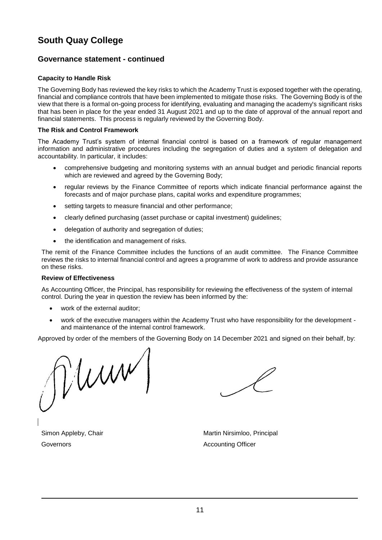### **Governance statement - continued**

### **Capacity to Handle Risk**

The Governing Body has reviewed the key risks to which the Academy Trust is exposed together with the operating, financial and compliance controls that have been implemented to mitigate those risks. The Governing Body is of the view that there is a formal on-going process for identifying, evaluating and managing the academy's significant risks that has been in place for the year ended 31 August 2021 and up to the date of approval of the annual report and financial statements. This process is regularly reviewed by the Governing Body.

#### **The Risk and Control Framework**

The Academy Trust's system of internal financial control is based on a framework of regular management information and administrative procedures including the segregation of duties and a system of delegation and accountability. In particular, it includes:

- comprehensive budgeting and monitoring systems with an annual budget and periodic financial reports which are reviewed and agreed by the Governing Body;
- regular reviews by the Finance Committee of reports which indicate financial performance against the forecasts and of major purchase plans, capital works and expenditure programmes;
- setting targets to measure financial and other performance;
- clearly defined purchasing (asset purchase or capital investment) guidelines;
- delegation of authority and segregation of duties;
- the identification and management of risks.

The remit of the Finance Committee includes the functions of an audit committee. The Finance Committee reviews the risks to internal financial control and agrees a programme of work to address and provide assurance on these risks.

### **Review of Effectiveness**

As Accounting Officer, the Principal, has responsibility for reviewing the effectiveness of the system of internal control. During the year in question the review has been informed by the:

- work of the external auditor;
- work of the executive managers within the Academy Trust who have responsibility for the development and maintenance of the internal control framework.

Approved by order of the members of the Governing Body on 14 December 2021 and signed on their behalf, by:

 $\int$ um

Martin Nirsimloo, Principal Accounting Officer

Simon Appleby, Chair Governors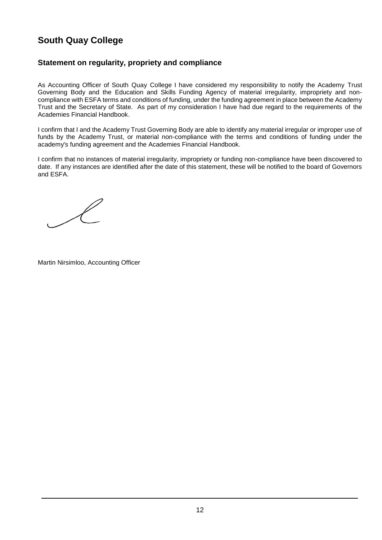### **Statement on regularity, propriety and compliance**

As Accounting Officer of South Quay College I have considered my responsibility to notify the Academy Trust Governing Body and the Education and Skills Funding Agency of material irregularity, impropriety and noncompliance with ESFA terms and conditions of funding, under the funding agreement in place between the Academy Trust and the Secretary of State. As part of my consideration I have had due regard to the requirements of the Academies Financial Handbook.

I confirm that I and the Academy Trust Governing Body are able to identify any material irregular or improper use of funds by the Academy Trust, or material non-compliance with the terms and conditions of funding under the academy's funding agreement and the Academies Financial Handbook.

I confirm that no instances of material irregularity, impropriety or funding non-compliance have been discovered to date. If any instances are identified after the date of this statement, these will be notified to the board of Governors and ESFA.

Martin Nirsimloo, Accounting Officer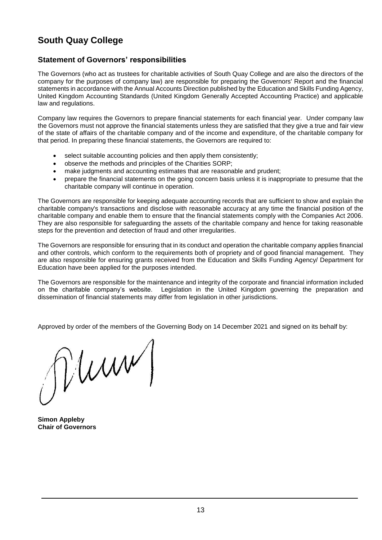### **Statement of Governors' responsibilities**

The Governors (who act as trustees for charitable activities of South Quay College and are also the directors of the company for the purposes of company law) are responsible for preparing the Governors' Report and the financial statements in accordance with the Annual Accounts Direction published by the Education and Skills Funding Agency, United Kingdom Accounting Standards (United Kingdom Generally Accepted Accounting Practice) and applicable law and regulations.

Company law requires the Governors to prepare financial statements for each financial year. Under company law the Governors must not approve the financial statements unless they are satisfied that they give a true and fair view of the state of affairs of the charitable company and of the income and expenditure, of the charitable company for that period. In preparing these financial statements, the Governors are required to:

- select suitable accounting policies and then apply them consistently;
- observe the methods and principles of the Charities SORP;
- make judgments and accounting estimates that are reasonable and prudent;
- prepare the financial statements on the going concern basis unless it is inappropriate to presume that the charitable company will continue in operation.

The Governors are responsible for keeping adequate accounting records that are sufficient to show and explain the charitable company's transactions and disclose with reasonable accuracy at any time the financial position of the charitable company and enable them to ensure that the financial statements comply with the Companies Act 2006. They are also responsible for safeguarding the assets of the charitable company and hence for taking reasonable steps for the prevention and detection of fraud and other irregularities.

The Governors are responsible for ensuring that in its conduct and operation the charitable company applies financial and other controls, which conform to the requirements both of propriety and of good financial management. They are also responsible for ensuring grants received from the Education and Skills Funding Agency/ Department for Education have been applied for the purposes intended.

The Governors are responsible for the maintenance and integrity of the corporate and financial information included on the charitable company's website. Legislation in the United Kingdom governing the preparation and dissemination of financial statements may differ from legislation in other jurisdictions.

Approved by order of the members of the Governing Body on 14 December 2021 and signed on its behalf by:

 $\int \int WWW$ 

**Simon Appleby Chair of Governors**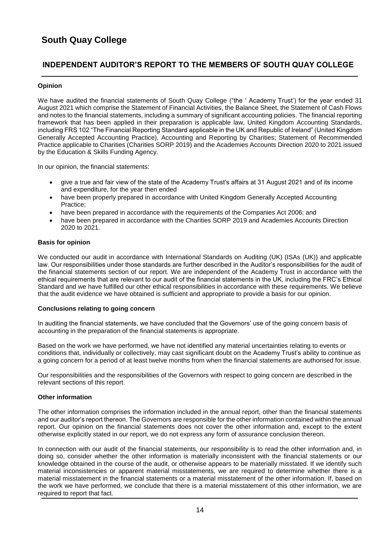## **INDEPENDENT AUDITOR'S REPORT TO THE MEMBERS OF SOUTH QUAY COLLEGE**

### **Opinion**

We have audited the financial statements of South Quay College ("the ' Academy Trust') for the year ended 31 August 2021 which comprise the Statement of Financial Activities, the Balance Sheet, the Statement of Cash Flows and notes to the financial statements, including a summary of significant accounting policies. The financial reporting framework that has been applied in their preparation is applicable law, United Kingdom Accounting Standards, including FRS 102 "The Financial Reporting Standard applicable in the UK and Republic of Ireland" (United Kingdom Generally Accepted Accounting Practice), Accounting and Reporting by Charities; Statement of Recommended Practice applicable to Charities (Charities SORP 2019) and the Academies Accounts Direction 2020 to 2021 issued by the Education & Skills Funding Agency.

In our opinion, the financial statements:

- give a true and fair view of the state of the Academy Trust's affairs at 31 August 2021 and of its income and expenditure, for the year then ended
- have been properly prepared in accordance with United Kingdom Generally Accepted Accounting Practice;
- have been prepared in accordance with the requirements of the Companies Act 2006; and
- have been prepared in accordance with the Charities SORP 2019 and Academies Accounts Direction 2020 to 2021.

### **Basis for opinion**

We conducted our audit in accordance with International Standards on Auditing (UK) (ISAs (UK)) and applicable law. Our responsibilities under those standards are further described in the Auditor's responsibilities for the audit of the financial statements section of our report. We are independent of the Academy Trust in accordance with the ethical requirements that are relevant to our audit of the financial statements in the UK, including the FRC's Ethical Standard and we have fulfilled our other ethical responsibilities in accordance with these requirements. We believe that the audit evidence we have obtained is sufficient and appropriate to provide a basis for our opinion.

### **Conclusions relating to going concern**

In auditing the financial statements, we have concluded that the Governors' use of the going concern basis of accounting in the preparation of the financial statements is appropriate.

Based on the work we have performed, we have not identified any material uncertainties relating to events or conditions that, individually or collectively, may cast significant doubt on the Academy Trust's ability to continue as a going concern for a period of at least twelve months from when the financial statements are authorised for issue.

Our responsibilities and the responsibilities of the Governors with respect to going concern are described in the relevant sections of this report.

### **Other information**

The other information comprises the information included in the annual report, other than the financial statements and our auditor's report thereon. The Governors are responsible for the other information contained within the annual report. Our opinion on the financial statements does not cover the other information and, except to the extent otherwise explicitly stated in our report, we do not express any form of assurance conclusion thereon.

In connection with our audit of the financial statements, our responsibility is to read the other information and, in doing so, consider whether the other information is materially inconsistent with the financial statements or our knowledge obtained in the course of the audit, or otherwise appears to be materially misstated. If we identify such material inconsistencies or apparent material misstatements, we are required to determine whether there is a material misstatement in the financial statements or a material misstatement of the other information. If, based on the work we have performed, we conclude that there is a material misstatement of this other information, we are required to report that fact.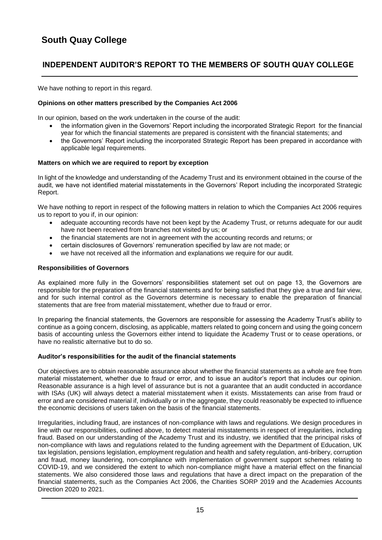## **INDEPENDENT AUDITOR'S REPORT TO THE MEMBERS OF SOUTH QUAY COLLEGE**

We have nothing to report in this regard.

### **Opinions on other matters prescribed by the Companies Act 2006**

In our opinion, based on the work undertaken in the course of the audit:

- the information given in the Governors' Report including the incorporated Strategic Report for the financial year for which the financial statements are prepared is consistent with the financial statements; and
- the Governors' Report including the incorporated Strategic Report has been prepared in accordance with applicable legal requirements.

### **Matters on which we are required to report by exception**

In light of the knowledge and understanding of the Academy Trust and its environment obtained in the course of the audit, we have not identified material misstatements in the Governors' Report including the incorporated Strategic Report.

We have nothing to report in respect of the following matters in relation to which the Companies Act 2006 requires us to report to you if, in our opinion:

- adequate accounting records have not been kept by the Academy Trust, or returns adequate for our audit have not been received from branches not visited by us; or
- the financial statements are not in agreement with the accounting records and returns; or
- certain disclosures of Governors' remuneration specified by law are not made; or
- we have not received all the information and explanations we require for our audit.

#### **Responsibilities of Governors**

As explained more fully in the Governors' responsibilities statement set out on page 13, the Governors are responsible for the preparation of the financial statements and for being satisfied that they give a true and fair view, and for such internal control as the Governors determine is necessary to enable the preparation of financial statements that are free from material misstatement, whether due to fraud or error.

In preparing the financial statements, the Governors are responsible for assessing the Academy Trust's ability to continue as a going concern, disclosing, as applicable, matters related to going concern and using the going concern basis of accounting unless the Governors either intend to liquidate the Academy Trust or to cease operations, or have no realistic alternative but to do so.

### **Auditor's responsibilities for the audit of the financial statements**

Our objectives are to obtain reasonable assurance about whether the financial statements as a whole are free from material misstatement, whether due to fraud or error, and to issue an auditor's report that includes our opinion. Reasonable assurance is a high level of assurance but is not a guarantee that an audit conducted in accordance with ISAs (UK) will always detect a material misstatement when it exists. Misstatements can arise from fraud or error and are considered material if, individually or in the aggregate, they could reasonably be expected to influence the economic decisions of users taken on the basis of the financial statements.

Irregularities, including fraud, are instances of non-compliance with laws and regulations. We design procedures in line with our responsibilities, outlined above, to detect material misstatements in respect of irregularities, including fraud. Based on our understanding of the Academy Trust and its industry, we identified that the principal risks of non-compliance with laws and regulations related to the funding agreement with the Department of Education, UK tax legislation, pensions legislation, employment regulation and health and safety regulation, anti-bribery, corruption and fraud, money laundering, non-compliance with implementation of government support schemes relating to COVID-19, and we considered the extent to which non-compliance might have a material effect on the financial statements. We also considered those laws and regulations that have a direct impact on the preparation of the financial statements, such as the Companies Act 2006, the Charities SORP 2019 and the Academies Accounts Direction 2020 to 2021.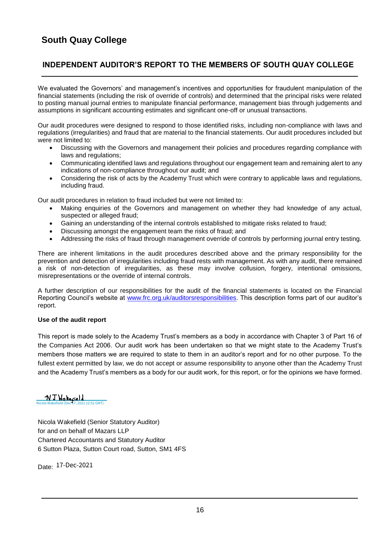## **INDEPENDENT AUDITOR'S REPORT TO THE MEMBERS OF SOUTH QUAY COLLEGE**

We evaluated the Governors' and management's incentives and opportunities for fraudulent manipulation of the financial statements (including the risk of override of controls) and determined that the principal risks were related to posting manual journal entries to manipulate financial performance, management bias through judgements and assumptions in significant accounting estimates and significant one-off or unusual transactions.

Our audit procedures were designed to respond to those identified risks, including non-compliance with laws and regulations (irregularities) and fraud that are material to the financial statements. Our audit procedures included but were not limited to:

- Discussing with the Governors and management their policies and procedures regarding compliance with laws and regulations:
- Communicating identified laws and regulations throughout our engagement team and remaining alert to any indications of non-compliance throughout our audit; and
- Considering the risk of acts by the Academy Trust which were contrary to applicable laws and regulations, including fraud.

Our audit procedures in relation to fraud included but were not limited to:

- Making enquiries of the Governors and management on whether they had knowledge of any actual, suspected or alleged fraud;
- Gaining an understanding of the internal controls established to mitigate risks related to fraud;
- Discussing amongst the engagement team the risks of fraud; and
- Addressing the risks of fraud through management override of controls by performing journal entry testing.

There are inherent limitations in the audit procedures described above and the primary responsibility for the prevention and detection of irregularities including fraud rests with management. As with any audit, there remained a risk of non-detection of irregularities, as these may involve collusion, forgery, intentional omissions, misrepresentations or the override of internal controls.

A further description of our responsibilities for the audit of the financial statements is located on the Financial Reporting Council's website at [www.frc.org.uk/auditorsresponsibilities.](http://www.frc.org.uk/auditorsresponsibilities) This description forms part of our auditor's report.

### **Use of the audit report**

This report is made solely to the Academy Trust's members as a body in accordance with Chapter 3 of Part 16 of the Companies Act 2006. Our audit work has been undertaken so that we might state to the Academy Trust's members those matters we are required to state to them in an auditor's report and for no other purpose. To the fullest extent permitted by law, we do not accept or assume responsibility to anyone other than the Academy Trust and the Academy Trust's members as a body for our audit work, for this report, or for the opinions we have formed.

#### <u>NJ Nakecield</u>  $12.52$  GMT)

Nicola Wakefield (Senior Statutory Auditor) for and on behalf of Mazars LLP Chartered Accountants and Statutory Auditor 6 Sutton Plaza, Sutton Court road, Sutton, SM1 4FS

Date: 17-Dec-2021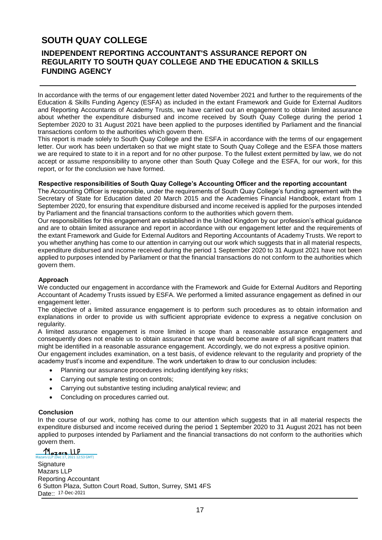## **SOUTH QUAY COLLEGE**

### **INDEPENDENT REPORTING ACCOUNTANT'S ASSURANCE REPORT ON REGULARITY TO SOUTH QUAY COLLEGE AND THE EDUCATION & SKILLS FUNDING AGENCY**

In accordance with the terms of our engagement letter dated November 2021 and further to the requirements of the Education & Skills Funding Agency (ESFA) as included in the extant Framework and Guide for External Auditors and Reporting Accountants of Academy Trusts, we have carried out an engagement to obtain limited assurance about whether the expenditure disbursed and income received by South Quay College during the period 1 September 2020 to 31 August 2021 have been applied to the purposes identified by Parliament and the financial transactions conform to the authorities which govern them.

This report is made solely to South Quay College and the ESFA in accordance with the terms of our engagement letter. Our work has been undertaken so that we might state to South Quay College and the ESFA those matters we are required to state to it in a report and for no other purpose. To the fullest extent permitted by law, we do not accept or assume responsibility to anyone other than South Quay College and the ESFA, for our work, for this report, or for the conclusion we have formed.

#### **Respective responsibilities of South Quay College's Accounting Officer and the reporting accountant**

The Accounting Officer is responsible, under the requirements of South Quay College's funding agreement with the Secretary of State for Education dated 20 March 2015 and the Academies Financial Handbook, extant from 1 September 2020, for ensuring that expenditure disbursed and income received is applied for the purposes intended by Parliament and the financial transactions conform to the authorities which govern them.

Our responsibilities for this engagement are established in the United Kingdom by our profession's ethical guidance and are to obtain limited assurance and report in accordance with our engagement letter and the requirements of the extant Framework and Guide for External Auditors and Reporting Accountants of Academy Trusts. We report to you whether anything has come to our attention in carrying out our work which suggests that in all material respects, expenditure disbursed and income received during the period 1 September 2020 to 31 August 2021 have not been applied to purposes intended by Parliament or that the financial transactions do not conform to the authorities which govern them.

### **Approach**

We conducted our engagement in accordance with the Framework and Guide for External Auditors and Reporting Accountant of Academy Trusts issued by ESFA. We performed a limited assurance engagement as defined in our engagement letter.

The objective of a limited assurance engagement is to perform such procedures as to obtain information and explanations in order to provide us with sufficient appropriate evidence to express a negative conclusion on regularity.

A limited assurance engagement is more limited in scope than a reasonable assurance engagement and consequently does not enable us to obtain assurance that we would become aware of all significant matters that might be identified in a reasonable assurance engagement. Accordingly, we do not express a positive opinion.

Our engagement includes examination, on a test basis, of evidence relevant to the regularity and propriety of the academy trust's income and expenditure. The work undertaken to draw to our conclusion includes:

- Planning our assurance procedures including identifying key risks;
- Carrying out sample testing on controls;
- Carrying out substantive testing including analytical review; and
- Concluding on procedures carried out.

#### **Conclusion**

In the course of our work, nothing has come to our attention which suggests that in all material respects the expenditure disbursed and income received during the period 1 September 2020 to 31 August 2021 has not been applied to purposes intended by Parliament and the financial transactions do not conform to the authorities which govern them.

Mazars LLP  $\overline{\text{GMT}}}$ **Signature** Mazars LLP Reporting Accountant 6 Sutton Plaza, Sutton Court Road, Sutton, Surrey, SM1 4FS Date:: 17-Dec-2021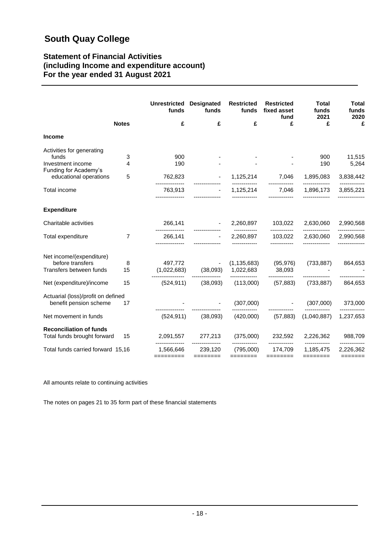### **Statement of Financial Activities (including Income and expenditure account) For the year ended 31 August 2021**

|                                                     |                | <b>Unrestricted</b><br>funds | <b>Designated</b><br>funds | <b>Restricted</b><br>funds  | <b>Restricted</b><br>fixed asset<br>fund | <b>Total</b><br>funds<br>2021 | <b>Total</b><br>funds<br>2020 |
|-----------------------------------------------------|----------------|------------------------------|----------------------------|-----------------------------|------------------------------------------|-------------------------------|-------------------------------|
|                                                     | <b>Notes</b>   | £                            | £                          | £                           | £                                        | £                             | £                             |
| <b>Income</b>                                       |                |                              |                            |                             |                                          |                               |                               |
| Activities for generating                           |                |                              |                            |                             |                                          |                               |                               |
| funds<br>Investment income<br>Funding for Academy's | 3<br>4         | 900<br>190                   |                            |                             |                                          | 900<br>190                    | 11,515<br>5,264               |
| educational operations                              | 5              | 762,823                      |                            | 1,125,214                   | 7,046                                    | 1,895,083                     | 3,838,442                     |
| Total income                                        |                | 763.913                      |                            | 1,125,214                   | -------------<br>7,046                   | --------------<br>1,896,173   | 3,855,221                     |
| <b>Expenditure</b>                                  |                |                              |                            |                             |                                          |                               |                               |
| Charitable activities                               |                | 266,141                      |                            |                             | 2,260,897 103,022                        | 2,630,060                     | 2,990,568                     |
| Total expenditure                                   | $\overline{7}$ | 266,141                      |                            | 2,260,897                   | ------------<br>103,022                  | --------------<br>2,630,060   | 2,990,568                     |
| Net income/(expenditure)                            |                |                              |                            |                             |                                          |                               |                               |
| before transfers<br>Transfers between funds         | 8<br>15        | 497,772<br>(1,022,683)       | (38,093)                   | (1, 135, 683)<br>1,022,683  | 38,093                                   | $(95, 976)$ $(733, 887)$      | 864,653                       |
| Net (expenditure)/income                            | 15             | -------------<br>(524, 911)  | (38,093)                   | --------------<br>(113,000) | -------------<br>(57, 883)               | (733, 887)                    | 864,653                       |
| Actuarial (loss)/profit on defined                  |                |                              |                            |                             |                                          |                               |                               |
| benefit pension scheme                              | 17             |                              |                            | (307,000)                   |                                          | (307,000)                     | 373,000                       |
| Net movement in funds                               |                | (524, 911)                   | (38,093)                   | (420,000)                   | (57, 883)                                | (1,040,887)                   | 1,237,653                     |
| <b>Reconciliation of funds</b>                      |                |                              |                            |                             |                                          |                               |                               |
| Total funds brought forward                         | 15             |                              | 2,091,557 277,213          | (375,000)                   | 232,592                                  | 2,226,362                     | 988,709                       |
| Total funds carried forward 15,16                   |                | 1,566,646                    | 239,120                    | (795,000)                   | 174,709                                  | 1,185,475                     | 2,226,362                     |
|                                                     |                | =========                    | $=$ =======                | ========                    | ========                                 |                               | =======                       |

All amounts relate to continuing activities

The notes on pages 21 to 35 form part of these financial statements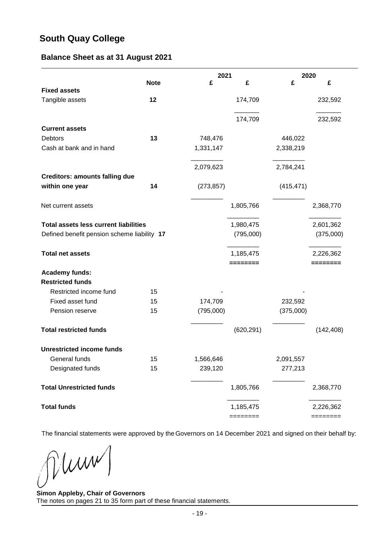### **Balance Sheet as at 31 August 2021**

|                                              |             | 2021       |            | 2020       |            |
|----------------------------------------------|-------------|------------|------------|------------|------------|
|                                              | <b>Note</b> | £          | £          | £          | £          |
| <b>Fixed assets</b>                          | 12          |            | 174,709    |            | 232,592    |
| Tangible assets                              |             |            |            |            |            |
|                                              |             |            | 174,709    |            | 232,592    |
| <b>Current assets</b>                        |             |            |            |            |            |
| Debtors                                      | 13          | 748,476    |            | 446,022    |            |
| Cash at bank and in hand                     |             | 1,331,147  |            | 2,338,219  |            |
|                                              |             | 2,079,623  |            | 2,784,241  |            |
| <b>Creditors: amounts falling due</b>        |             |            |            |            |            |
| within one year                              | 14          | (273, 857) |            | (415, 471) |            |
| Net current assets                           |             |            | 1,805,766  |            | 2,368,770  |
| <b>Total assets less current liabilities</b> |             |            | 1,980,475  |            | 2,601,362  |
| Defined benefit pension scheme liability 17  |             |            | (795,000)  |            | (375,000)  |
| <b>Total net assets</b>                      |             |            | 1,185,475  |            | 2,226,362  |
| <b>Academy funds:</b>                        |             |            | ========   |            | ========   |
| <b>Restricted funds</b>                      |             |            |            |            |            |
| Restricted income fund                       | 15          |            |            |            |            |
| Fixed asset fund                             | 15          | 174,709    |            | 232,592    |            |
| Pension reserve                              | 15          | (795,000)  |            | (375,000)  |            |
| <b>Total restricted funds</b>                |             |            | (620, 291) |            | (142, 408) |
| <b>Unrestricted income funds</b>             |             |            |            |            |            |
| General funds                                | 15          | 1,566,646  |            | 2,091,557  |            |
| Designated funds                             | 15          | 239,120    |            | 277,213    |            |
| <b>Total Unrestricted funds</b>              |             |            | 1,805,766  |            | 2,368,770  |
| <b>Total funds</b>                           |             |            | 1,185,475  |            | 2,226,362  |
|                                              |             |            | ========   |            | ========   |

The financial statements were approved by the Governors on 14 December 2021 and signed on their behalf by:

Mum

**Simon Appleby, Chair of Governors** The notes on pages 21 to 35 form part of these financial statements.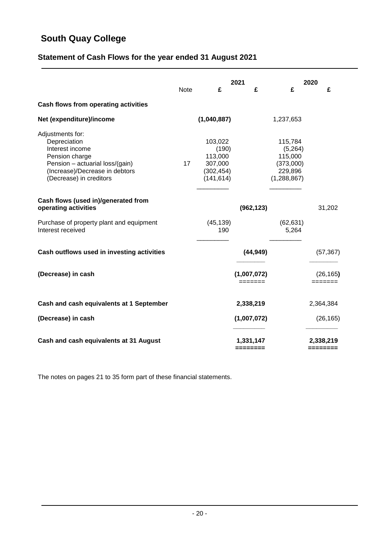## **Statement of Cash Flows for the year ended 31 August 2021**

|                                                                                                                                                                       | <b>Note</b> | £                                                                  | 2021<br>£              | £                                                                      | 2020<br>£             |
|-----------------------------------------------------------------------------------------------------------------------------------------------------------------------|-------------|--------------------------------------------------------------------|------------------------|------------------------------------------------------------------------|-----------------------|
| Cash flows from operating activities                                                                                                                                  |             |                                                                    |                        |                                                                        |                       |
| Net (expenditure)/income                                                                                                                                              |             | (1,040,887)                                                        |                        | 1,237,653                                                              |                       |
| Adjustments for:<br>Depreciation<br>Interest income<br>Pension charge<br>Pension - actuarial loss/(gain)<br>(Increase)/Decrease in debtors<br>(Decrease) in creditors | 17          | 103,022<br>(190)<br>113,000<br>307,000<br>(302, 454)<br>(141, 614) |                        | 115,784<br>(5,264)<br>115,000<br>(373,000)<br>229,896<br>(1, 288, 867) |                       |
| Cash flows (used in)/generated from<br>operating activities                                                                                                           |             |                                                                    | (962, 123)             |                                                                        | 31,202                |
| Purchase of property plant and equipment<br>Interest received                                                                                                         |             | (45, 139)<br>190                                                   |                        | (62, 631)<br>5,264                                                     |                       |
| Cash outflows used in investing activities                                                                                                                            |             |                                                                    | (44, 949)              |                                                                        | (57, 367)             |
| (Decrease) in cash                                                                                                                                                    |             |                                                                    | (1,007,072)<br>======= |                                                                        | (26, 165)<br>=======  |
| Cash and cash equivalents at 1 September                                                                                                                              |             |                                                                    | 2,338,219              |                                                                        | 2,364,384             |
| (Decrease) in cash                                                                                                                                                    |             |                                                                    | (1,007,072)            |                                                                        | (26, 165)             |
| Cash and cash equivalents at 31 August                                                                                                                                |             |                                                                    | 1,331,147<br>========  |                                                                        | 2,338,219<br>======== |

The notes on pages 21 to 35 form part of these financial statements.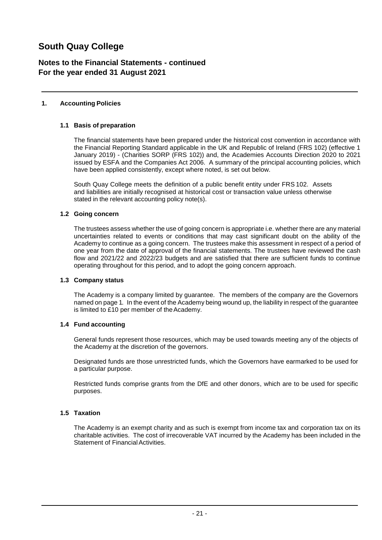### **Notes to the Financial Statements - continued For the year ended 31 August 2021**

### **1. Accounting Policies**

### **1.1 Basis of preparation**

The financial statements have been prepared under the historical cost convention in accordance with the Financial Reporting Standard applicable in the UK and Republic of Ireland (FRS 102) (effective 1 January 2019) - (Charities SORP (FRS 102)) and, the Academies Accounts Direction 2020 to 2021 issued by ESFA and the Companies Act 2006. A summary of the principal accounting policies, which have been applied consistently, except where noted, is set out below.

South Quay College meets the definition of a public benefit entity under FRS 102. Assets and liabilities are initially recognised at historical cost or transaction value unless otherwise stated in the relevant accounting policy note(s).

### **1.2 Going concern**

The trustees assess whether the use of going concern is appropriate i.e. whether there are any material uncertainties related to events or conditions that may cast significant doubt on the ability of the Academy to continue as a going concern. The trustees make this assessment in respect of a period of one year from the date of approval of the financial statements. The trustees have reviewed the cash flow and 2021/22 and 2022/23 budgets and are satisfied that there are sufficient funds to continue operating throughout for this period, and to adopt the going concern approach.

### **1.3 Company status**

The Academy is a company limited by guarantee. The members of the company are the Governors named on page 1. In the event of the Academy being wound up, the liability in respect of the guarantee is limited to £10 per member of the Academy.

### **1.4 Fund accounting**

General funds represent those resources, which may be used towards meeting any of the objects of the Academy at the discretion of the governors.

Designated funds are those unrestricted funds, which the Governors have earmarked to be used for a particular purpose.

Restricted funds comprise grants from the DfE and other donors, which are to be used for specific purposes.

### **1.5 Taxation**

The Academy is an exempt charity and as such is exempt from income tax and corporation tax on its charitable activities. The cost of irrecoverable VAT incurred by the Academy has been included in the Statement of Financial Activities.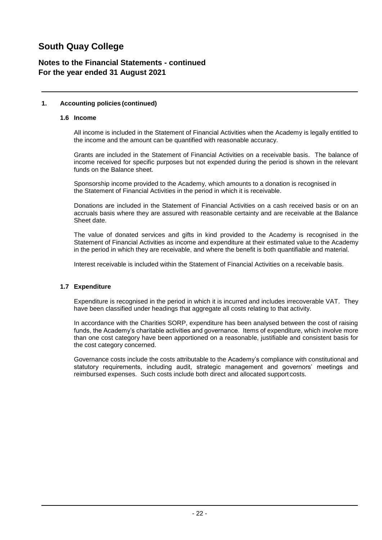### **Notes to the Financial Statements - continued For the year ended 31 August 2021**

### **1. Accounting policies (continued)**

### **1.6 Income**

All income is included in the Statement of Financial Activities when the Academy is legally entitled to the income and the amount can be quantified with reasonable accuracy.

Grants are included in the Statement of Financial Activities on a receivable basis. The balance of income received for specific purposes but not expended during the period is shown in the relevant funds on the Balance sheet.

Sponsorship income provided to the Academy, which amounts to a donation is recognised in the Statement of Financial Activities in the period in which it is receivable.

Donations are included in the Statement of Financial Activities on a cash received basis or on an accruals basis where they are assured with reasonable certainty and are receivable at the Balance Sheet date.

The value of donated services and gifts in kind provided to the Academy is recognised in the Statement of Financial Activities as income and expenditure at their estimated value to the Academy in the period in which they are receivable, and where the benefit is both quantifiable and material.

Interest receivable is included within the Statement of Financial Activities on a receivable basis.

### **1.7 Expenditure**

Expenditure is recognised in the period in which it is incurred and includes irrecoverable VAT. They have been classified under headings that aggregate all costs relating to that activity.

In accordance with the Charities SORP, expenditure has been analysed between the cost of raising funds, the Academy's charitable activities and governance. Items of expenditure, which involve more than one cost category have been apportioned on a reasonable, justifiable and consistent basis for the cost category concerned.

Governance costs include the costs attributable to the Academy's compliance with constitutional and statutory requirements, including audit, strategic management and governors' meetings and reimbursed expenses. Such costs include both direct and allocated support costs.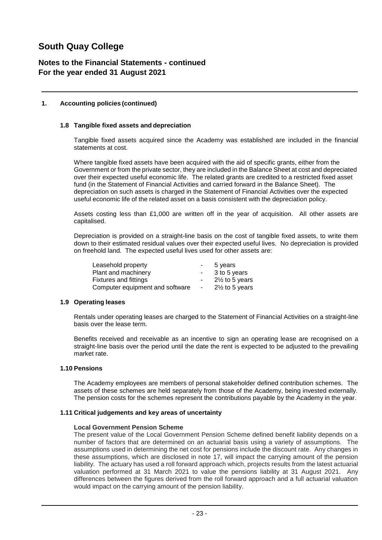### **Notes to the Financial Statements - continued For the year ended 31 August 2021**

### **1. Accounting policies (continued)**

### **1.8 Tangible fixed assets and depreciation**

Tangible fixed assets acquired since the Academy was established are included in the financial statements at cost.

Where tangible fixed assets have been acquired with the aid of specific grants, either from the Government or from the private sector, they are included in the Balance Sheet at cost and depreciated over their expected useful economic life. The related grants are credited to a restricted fixed asset fund (in the Statement of Financial Activities and carried forward in the Balance Sheet). The depreciation on such assets is charged in the Statement of Financial Activities over the expected useful economic life of the related asset on a basis consistent with the depreciation policy.

Assets costing less than £1,000 are written off in the year of acquisition. All other assets are capitalised.

Depreciation is provided on a straight-line basis on the cost of tangible fixed assets, to write them down to their estimated residual values over their expected useful lives. No depreciation is provided on freehold land. The expected useful lives used for other assets are:

| Leasehold property              | $\sim$     | 5 years                   |
|---------------------------------|------------|---------------------------|
| Plant and machinery             | $\sim$     | 3 to 5 years              |
| <b>Fixtures and fittings</b>    | $\sim$     | $2\frac{1}{2}$ to 5 years |
| Computer equipment and software | $\sim$ $-$ | $2\frac{1}{2}$ to 5 years |

### **1.9 Operating leases**

Rentals under operating leases are charged to the Statement of Financial Activities on a straight-line basis over the lease term.

Benefits received and receivable as an incentive to sign an operating lease are recognised on a straight-line basis over the period until the date the rent is expected to be adjusted to the prevailing market rate.

### **1.10 Pensions**

The Academy employees are members of personal stakeholder defined contribution schemes. The assets of these schemes are held separately from those of the Academy, being invested externally. The pension costs for the schemes represent the contributions payable by the Academy in the year.

### **1.11 Critical judgements and key areas of uncertainty**

### **Local Government Pension Scheme**

The present value of the Local Government Pension Scheme defined benefit liability depends on a number of factors that are determined on an actuarial basis using a variety of assumptions. The assumptions used in determining the net cost for pensions include the discount rate. Any changes in these assumptions, which are disclosed in note 17, will impact the carrying amount of the pension liability. The actuary has used a roll forward approach which, projects results from the latest actuarial valuation performed at 31 March 2021 to value the pensions liability at 31 August 2021. Any differences between the figures derived from the roll forward approach and a full actuarial valuation would impact on the carrying amount of the pension liability.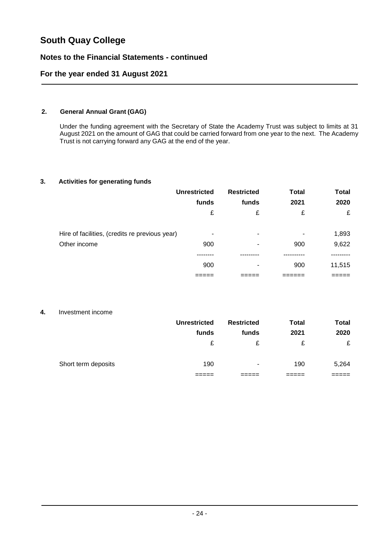### **Notes to the Financial Statements - continued**

### **For the year ended 31 August 2021**

### **2. General Annual Grant (GAG)**

Under the funding agreement with the Secretary of State the Academy Trust was subject to limits at 31 August 2021 on the amount of GAG that could be carried forward from one year to the next. The Academy Trust is not carrying forward any GAG at the end of the year.

### **3. Activities for generating funds**

|                                                | <b>Unrestricted</b> | <b>Restricted</b> | <b>Total</b>             | <b>Total</b> |
|------------------------------------------------|---------------------|-------------------|--------------------------|--------------|
|                                                | funds               | funds             | 2021                     | 2020         |
|                                                | £                   | £                 | £                        | £            |
| Hire of facilities, (credits re previous year) | ۰                   | ۰                 | $\overline{\phantom{a}}$ | 1,893        |
| Other income                                   | 900                 |                   | 900                      | 9,622        |
|                                                |                     |                   |                          |              |
|                                                | 900                 | ٠                 | 900                      | 11,515       |
|                                                |                     |                   |                          |              |

### **4.** Investment income

|                     | <b>Unrestricted</b> | <b>Restricted</b> | <b>Total</b> | <b>Total</b> |
|---------------------|---------------------|-------------------|--------------|--------------|
|                     | funds               | funds             | 2021         | 2020         |
|                     | £                   | £                 | £            | £            |
| Short term deposits | 190                 | ۰                 | 190          | 5,264        |
|                     |                     |                   |              |              |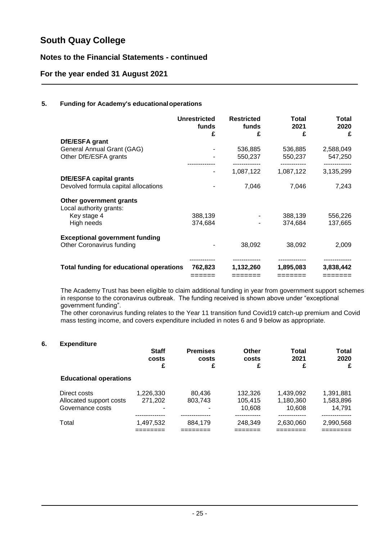### **Notes to the Financial Statements - continued**

### **For the year ended 31 August 2021**

### **5. Funding for Academy's educationaloperations**

|                                                 | <b>Unrestricted</b><br>funds<br>£ | <b>Restricted</b><br>funds<br>£ | Total<br>2021<br>£ | Total<br>2020<br>£ |
|-------------------------------------------------|-----------------------------------|---------------------------------|--------------------|--------------------|
| DfE/ESFA grant                                  |                                   |                                 |                    |                    |
| General Annual Grant (GAG)                      |                                   | 536,885                         | 536,885            | 2,588,049          |
| Other DfE/ESFA grants                           |                                   | 550,237                         | 550,237            | 547,250            |
|                                                 |                                   |                                 |                    |                    |
|                                                 | ۰                                 | 1,087,122                       | 1,087,122          | 3,135,299          |
| <b>DfE/ESFA capital grants</b>                  |                                   |                                 |                    |                    |
| Devolved formula capital allocations            |                                   | 7,046                           | 7,046              | 7,243              |
| Other government grants                         |                                   |                                 |                    |                    |
| Local authority grants:                         |                                   |                                 |                    |                    |
| Key stage 4                                     | 388,139                           |                                 | 388,139            | 556,226            |
| High needs                                      | 374,684                           |                                 | 374,684            | 137,665            |
| <b>Exceptional government funding</b>           |                                   |                                 |                    |                    |
| Other Coronavirus funding                       |                                   | 38,092                          | 38,092             | 2,009              |
| <b>Total funding for educational operations</b> | 762,823                           | 1,132,260                       | 1,895,083          | 3,838,442          |
|                                                 |                                   | =======                         |                    |                    |

The Academy Trust has been eligible to claim additional funding in year from government support schemes in response to the coronavirus outbreak. The funding received is shown above under "exceptional government funding".

The other coronavirus funding relates to the Year 11 transition fund Covid19 catch-up premium and Covid mass testing income, and covers expenditure included in notes 6 and 9 below as appropriate.

### **6. Expenditure**

|                                                             | <b>Staff</b><br>costs<br>£ | <b>Premises</b><br>costs<br>£ | <b>Other</b><br>costs<br>£   | Total<br>2021<br>£               | Total<br>2020<br>£               |
|-------------------------------------------------------------|----------------------------|-------------------------------|------------------------------|----------------------------------|----------------------------------|
| <b>Educational operations</b>                               |                            |                               |                              |                                  |                                  |
| Direct costs<br>Allocated support costs<br>Governance costs | 1,226,330<br>271,202<br>-  | 80.436<br>803,743             | 132.326<br>105,415<br>10.608 | 1.439.092<br>1,180,360<br>10.608 | 1.391.881<br>1,583,896<br>14.791 |
| Total                                                       | 1,497,532                  | 884.179                       | 248.349                      | 2,630,060                        | 2,990,568                        |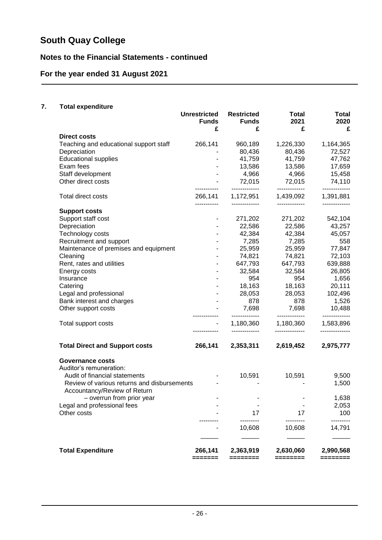## **Notes to the Financial Statements - continued**

## **For the year ended 31 August 2021**

### **7. Total expenditure**

|                                             | <b>Unrestricted</b> | <b>Restricted</b>       | Total                   | Total                       |
|---------------------------------------------|---------------------|-------------------------|-------------------------|-----------------------------|
|                                             | <b>Funds</b>        | <b>Funds</b>            | 2021                    | 2020                        |
|                                             | £                   | £                       | £                       | £                           |
| <b>Direct costs</b>                         |                     |                         |                         |                             |
| Teaching and educational support staff      | 266,141             | 960,189                 | 1,226,330               | 1,164,365                   |
| Depreciation                                |                     | 80,436                  | 80,436                  | 72,527                      |
| <b>Educational supplies</b>                 |                     | 41,759                  | 41,759                  | 47,762                      |
| Exam fees                                   |                     | 13,586                  | 13,586                  | 17,659                      |
| Staff development                           | $\blacksquare$      | 4,966                   | 4,966                   | 15,458                      |
| Other direct costs                          |                     | 72,015<br>------------- | 72,015<br>------------- | 74,110<br>-------------     |
| Total direct costs                          | 266,141             | 1,172,951               | 1,439,092               | 1,391,881                   |
| <b>Support costs</b>                        | -----------         |                         | -------------           | -------------               |
| Support staff cost                          |                     | 271,202                 | 271,202                 | 542,104                     |
| Depreciation                                |                     | 22,586                  | 22,586                  | 43,257                      |
| Technology costs                            |                     | 42,384                  | 42,384                  | 45,057                      |
| Recruitment and support                     |                     | 7,285                   | 7,285                   | 558                         |
| Maintenance of premises and equipment       |                     | 25,959                  | 25,959                  | 77,847                      |
| Cleaning                                    |                     | 74,821                  | 74,821                  | 72,103                      |
| Rent, rates and utilities                   | $\blacksquare$      | 647,793                 | 647,793                 | 639,888                     |
| Energy costs                                | $\blacksquare$      | 32,584                  | 32,584                  | 26,805                      |
| Insurance                                   |                     | 954                     | 954                     | 1,656                       |
| Catering                                    |                     | 18,163                  | 18,163                  | 20,111                      |
| Legal and professional                      |                     | 28,053                  | 28,053                  | 102,496                     |
| Bank interest and charges                   |                     | 878                     | 878                     | 1,526                       |
| Other support costs                         |                     | 7,698                   | 7,698                   | 10,488                      |
|                                             | ------------        | -------------           | -------------           | -------------               |
| Total support costs                         |                     | 1,180,360               | 1,180,360               | 1,583,896<br>-------------- |
| <b>Total Direct and Support costs</b>       | 266,141             | 2,353,311               | 2,619,452               | 2,975,777                   |
|                                             |                     |                         |                         |                             |
| Governance costs                            |                     |                         |                         |                             |
| Auditor's remuneration:                     |                     |                         |                         |                             |
| Audit of financial statements               |                     | 10,591                  | 10,591                  | 9,500                       |
| Review of various returns and disbursements |                     |                         |                         | 1,500                       |
| Accountancy/Review of Return                |                     |                         |                         |                             |
| - overrun from prior year                   |                     |                         |                         | 1,638                       |
| Legal and professional fees                 |                     |                         |                         | 2,053                       |
| Other costs                                 |                     | 17                      | 17                      | 100                         |
|                                             |                     | 10,608                  | 10,608                  | 14,791                      |
|                                             |                     |                         |                         |                             |
| <b>Total Expenditure</b>                    | 266,141             | 2,363,919               | 2,630,060               | 2,990,568                   |
|                                             | =======             | ========                | ========                | ========                    |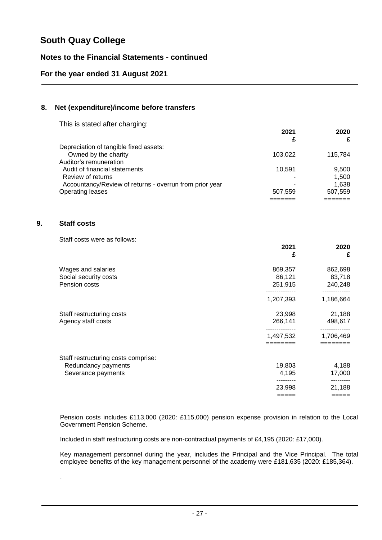### **Notes to the Financial Statements - continued**

### **For the year ended 31 August 2021**

### **8. Net (expenditure)/income before transfers**

This is stated after charging:

|                                                         | 2021    | 2020    |
|---------------------------------------------------------|---------|---------|
|                                                         | £       | £       |
| Depreciation of tangible fixed assets:                  |         |         |
| Owned by the charity                                    | 103,022 | 115,784 |
| Auditor's remuneration                                  |         |         |
| Audit of financial statements                           | 10.591  | 9,500   |
| Review of returns                                       |         | 1.500   |
| Accountancy/Review of returns - overrun from prior year | ۰       | 1.638   |
| Operating leases                                        | 507.559 | 507.559 |
|                                                         |         |         |

### **9. Staff costs**

.

Staff costs were as follows:

|                                     | 2021<br>£       | 2020<br>£         |
|-------------------------------------|-----------------|-------------------|
| Wages and salaries                  | 869,357         | 862,698           |
| Social security costs               | 86,121          | 83,718            |
| Pension costs                       | 251,915         | 240,248           |
|                                     | 1,207,393       | 1,186,664         |
| Staff restructuring costs           | 23,998          | 21,188            |
| Agency staff costs                  | 266,141         | 498,617           |
|                                     | 1,497,532       | 1,706,469         |
|                                     | ========        | ========          |
| Staff restructuring costs comprise: |                 |                   |
| Redundancy payments                 | 19,803          | 4,188             |
| Severance payments                  | 4,195           | 17,000            |
|                                     |                 | ---------         |
|                                     | 23,998<br>===== | 21,188<br>$=====$ |
|                                     |                 |                   |

Pension costs includes £113,000 (2020: £115,000) pension expense provision in relation to the Local Government Pension Scheme.

Included in staff restructuring costs are non-contractual payments of £4,195 (2020: £17,000).

Key management personnel during the year, includes the Principal and the Vice Principal. The total employee benefits of the key management personnel of the academy were £181,635 (2020: £185,364).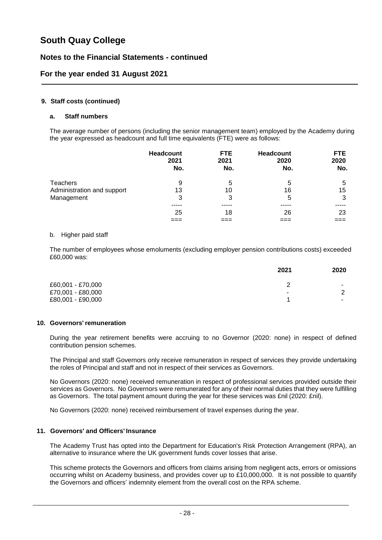### **Notes to the Financial Statements - continued**

### **For the year ended 31 August 2021**

### **9. Staff costs (continued)**

### **a. Staff numbers**

The average number of persons (including the senior management team) employed by the Academy during the year expressed as headcount and full time equivalents (FTE) were as follows:

|                            | Headcount<br>2021<br>No. | <b>FTE</b><br>2021<br>No. | <b>Headcount</b><br>2020<br>No. | <b>FTE</b><br>2020<br>No. |
|----------------------------|--------------------------|---------------------------|---------------------------------|---------------------------|
| <b>Teachers</b>            | 9                        | 5                         | 5                               | 5                         |
| Administration and support | 13                       | 10                        | 16                              | 15                        |
| Management                 | 3                        | 3                         | 5                               | 3                         |
|                            |                          |                           |                                 |                           |
|                            | 25                       | 18                        | 26                              | 23                        |
|                            |                          |                           |                                 | $\equiv$ $\equiv$         |

### b. Higher paid staff

The number of employees whose emoluments (excluding employer pension contributions costs) exceeded £60,000 was:

|                   | 2021 | 2020                     |
|-------------------|------|--------------------------|
| £60,001 - £70,000 |      | $\overline{\phantom{a}}$ |
| £70,001 - £80,000 | ٠    | C                        |
| £80,001 - £90,000 |      | $\overline{\phantom{a}}$ |

### **10. Governors'remuneration**

During the year retirement benefits were accruing to no Governor (2020: none) in respect of defined contribution pension schemes.

The Principal and staff Governors only receive remuneration in respect of services they provide undertaking the roles of Principal and staff and not in respect of their services as Governors.

No Governors (2020: none) received remuneration in respect of professional services provided outside their services as Governors. No Governors were remunerated for any of their normal duties that they were fulfilling as Governors. The total payment amount during the year for these services was £nil (2020: £nil).

No Governors (2020: none) received reimbursement of travel expenses during the year.

### **11. Governors' and Officers' Insurance**

The Academy Trust has opted into the Department for Education's Risk Protection Arrangement (RPA), an alternative to insurance where the UK government funds cover losses that arise.

This scheme protects the Governors and officers from claims arising from negligent acts, errors or omissions occurring whilst on Academy business, and provides cover up to £10,000,000. It is not possible to quantify the Governors and officers' indemnity element from the overall cost on the RPA scheme.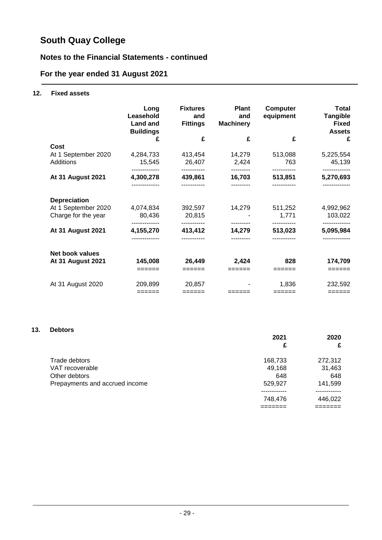## **Notes to the Financial Statements - continued**

## **For the year ended 31 August 2021**

### **12. Fixed assets**

|                          | Long<br>Leasehold<br><b>Land and</b><br><b>Buildings</b> | <b>Fixtures</b><br>and<br><b>Fittings</b> | <b>Plant</b><br>and<br><b>Machinery</b> | <b>Computer</b><br>equipment | <b>Total</b><br><b>Tangible</b><br><b>Fixed</b><br><b>Assets</b> |
|--------------------------|----------------------------------------------------------|-------------------------------------------|-----------------------------------------|------------------------------|------------------------------------------------------------------|
|                          | £                                                        | £                                         | £                                       | £                            | £                                                                |
| Cost                     |                                                          |                                           |                                         |                              |                                                                  |
| At 1 September 2020      | 4,284,733                                                | 413,454                                   | 14,279                                  | 513,088                      | 5,225,554                                                        |
| Additions                | 15,545                                                   | 26,407                                    | 2,424                                   | 763                          | 45,139                                                           |
| <b>At 31 August 2021</b> | . <b>.</b> .<br>4,300,278                                | 439,861                                   | 16,703                                  | -----------<br>513,851       | -------------<br>5,270,693                                       |
|                          |                                                          |                                           |                                         |                              | -------------                                                    |
| <b>Depreciation</b>      |                                                          |                                           |                                         |                              |                                                                  |
| At 1 September 2020      | 4,074,834                                                | 392,597                                   | 14,279                                  | 511,252                      | 4,992,962                                                        |
| Charge for the year      | 80,436                                                   | 20,815                                    |                                         | 1,771                        | 103,022                                                          |
| <b>At 31 August 2021</b> | 4,155,270                                                | 413,412                                   | 14,279                                  | 513,023                      | 5,095,984                                                        |
|                          |                                                          |                                           |                                         |                              |                                                                  |
| <b>Net book values</b>   |                                                          |                                           |                                         |                              |                                                                  |
| <b>At 31 August 2021</b> | 145,008                                                  | 26,449                                    | 2,424                                   | 828                          | 174,709                                                          |
|                          | ======                                                   | $=$ $=$ $=$ $=$ $=$ $=$                   | $=$ =====                               | ======                       | ======                                                           |
| At 31 August 2020        | 209,899                                                  | 20,857                                    |                                         | 1,836                        | 232,592                                                          |
|                          | $=$ $=$ $=$ $=$ $=$ $=$                                  | $=$ $=$ $=$ $=$ $=$ $=$                   | ======                                  | ======                       | $=$ $=$ $=$ $=$ $=$ $=$ $=$                                      |

### **13. Debtors**

|                                | 2021    | 2020    |
|--------------------------------|---------|---------|
|                                | £       | £       |
| Trade debtors                  | 168,733 | 272,312 |
| VAT recoverable                | 49,168  | 31,463  |
| Other debtors                  | 648     | 648     |
| Prepayments and accrued income | 529,927 | 141,599 |
|                                |         |         |
|                                | 748,476 | 446,022 |
|                                |         |         |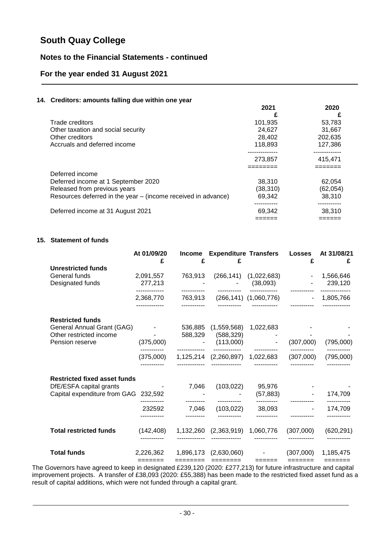### **Notes to the Financial Statements - continued**

### **For the year ended 31 August 2021**

### **14. Creditors: amounts falling due within one year**

|                                                               | 2021     | 2020     |
|---------------------------------------------------------------|----------|----------|
|                                                               |          | £        |
| Trade creditors                                               | 101.935  | 53.783   |
| Other taxation and social security                            | 24.627   | 31,667   |
| Other creditors                                               | 28.402   | 202,635  |
| Accruals and deferred income                                  | 118.893  | 127,386  |
|                                                               |          |          |
|                                                               | 273,857  | 415.471  |
|                                                               |          |          |
| Deferred income                                               |          |          |
| Deferred income at 1 September 2020                           | 38.310   | 62.054   |
| Released from previous years                                  | (38,310) | (62,054) |
| Resources deferred in the year – (income received in advance) | 69,342   | 38,310   |
|                                                               |          |          |
| Deferred income at 31 August 2021                             | 69,342   | 38,310   |
|                                                               |          |          |

### **15. Statement of funds**

|                                                                          | At 01/09/20<br>£                        | <b>Income</b><br>£ | £                               | <b>Expenditure Transfers Losses</b>       | £         | At 31/08/21<br>£            |
|--------------------------------------------------------------------------|-----------------------------------------|--------------------|---------------------------------|-------------------------------------------|-----------|-----------------------------|
| <b>Unrestricted funds</b>                                                |                                         |                    |                                 |                                           |           |                             |
| General funds<br>Designated funds                                        | 2,091,557<br>277,213                    | 763,913            |                                 | $(266, 141)$ $(1, 022, 683)$<br>(38,093)  |           | $-1,566,646$<br>239,120     |
|                                                                          | 2,368,770                               |                    |                                 | 763,913 (266,141) (1,060,776)             |           | $-1,805,766$                |
| <b>Restricted funds</b>                                                  |                                         |                    |                                 |                                           |           |                             |
| General Annual Grant (GAG)<br>Other restricted income<br>Pension reserve | and the state of the state<br>(375,000) | 536,885<br>588,329 | (588, 329)<br>(113,000)         | $(1,559,568)$ 1,022,683                   | (307,000) | (795,000)                   |
|                                                                          |                                         |                    |                                 |                                           |           |                             |
|                                                                          | (375,000)                               |                    |                                 | 1,125,214 (2,260,897) 1,022,683 (307,000) |           | (795,000)                   |
| <b>Restricted fixed asset funds</b>                                      |                                         |                    |                                 |                                           |           |                             |
| DfE/ESFA capital grants<br>Capital expenditure from GAG 232,592          | and the company of the company          | 7,046              | (103, 022)                      | 95,976<br>(57, 883)                       |           | 174,709                     |
|                                                                          | 232592                                  | 7,046              | (103, 022)                      | 38,093                                    |           | 174,709                     |
| <b>Total restricted funds</b>                                            | (142, 408)                              |                    | 1,132,260 (2,363,919) 1,060,776 |                                           | (307,000) | (620, 291)                  |
| <b>Total funds</b>                                                       | 2,226,362                               | 1,896,173          | (2,630,060)                     |                                           | (307,000) | 1,185,475                   |
|                                                                          | $=$ $=$ $=$ $=$ $=$ $=$ $=$             |                    | $=$ $=$ $=$ $=$ $=$ $=$ $=$     | $======$                                  | =======   | $=$ $=$ $=$ $=$ $=$ $=$ $=$ |

The Governors have agreed to keep in designated £239,120 (2020: £277,213) for future infrastructure and capital improvement projects. A transfer of £38,093 (2020: £55,388) has been made to the restricted fixed asset fund as a result of capital additions, which were not funded through a capital grant.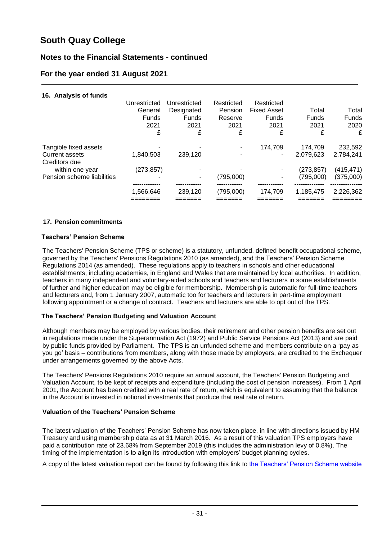### **Notes to the Financial Statements - continued**

### **For the year ended 31 August 2021**

### **16. Analysis of funds**

|                                                                | Unrestricted<br>General<br><b>Funds</b><br>2021<br>£ | Unrestricted<br>Designated<br><b>Funds</b><br>2021<br>£ | Restricted<br>Pension<br>Reserve<br>2021<br>£ | Restricted<br><b>Fixed Asset</b><br>Funds<br>2021<br>£ | Total<br>Funds<br>2021<br>£ | Total<br><b>Funds</b><br>2020<br>£ |
|----------------------------------------------------------------|------------------------------------------------------|---------------------------------------------------------|-----------------------------------------------|--------------------------------------------------------|-----------------------------|------------------------------------|
| Tangible fixed assets<br>Current assets                        | 1,840,503                                            | 239,120                                                 | ٠<br>٠                                        | 174.709                                                | 174.709<br>2,079,623        | 232,592<br>2,784,241               |
| Creditors due<br>within one year<br>Pension scheme liabilities | (273, 857)<br>۰                                      |                                                         | (795,000)                                     |                                                        | (273,857)<br>(795.000)      | (415, 471)<br>(375,000)            |
|                                                                | 1,566,646                                            | 239,120                                                 | (795,000)                                     | 174.709                                                | 1,185,475                   | 2,226,362                          |

### **17. Pension commitments**

### **Teachers' Pension Scheme**

The Teachers' Pension Scheme (TPS or scheme) is a statutory, unfunded, defined benefit occupational scheme, governed by the Teachers' Pensions Regulations 2010 (as amended), and the Teachers' Pension Scheme Regulations 2014 (as amended). These regulations apply to teachers in schools and other educational establishments, including academies, in England and Wales that are maintained by local authorities. In addition, teachers in many independent and voluntary-aided schools and teachers and lecturers in some establishments of further and higher education may be eligible for membership. Membership is automatic for full-time teachers and lecturers and, from 1 January 2007, automatic too for teachers and lecturers in part-time employment following appointment or a change of contract. Teachers and lecturers are able to opt out of the TPS.

### **The Teachers' Pension Budgeting and Valuation Account**

Although members may be employed by various bodies, their retirement and other pension benefits are set out in regulations made under the Superannuation Act (1972) and Public Service Pensions Act (2013) and are paid by public funds provided by Parliament. The TPS is an unfunded scheme and members contribute on a 'pay as you go' basis – contributions from members, along with those made by employers, are credited to the Exchequer under arrangements governed by the above Acts.

The Teachers' Pensions Regulations 2010 require an annual account, the Teachers' Pension Budgeting and Valuation Account, to be kept of receipts and expenditure (including the cost of pension increases). From 1 April 2001, the Account has been credited with a real rate of return, which is equivalent to assuming that the balance in the Account is invested in notional investments that produce that real rate of return.

### **Valuation of the Teachers' Pension Scheme**

The latest valuation of the Teachers' Pension Scheme has now taken place, in line with directions issued by HM Treasury and using membership data as at 31 March 2016. As a result of this valuation TPS employers have paid a contribution rate of 23.68% from September 2019 (this includes the administration levy of 0.8%). The timing of the implementation is to align its introduction with employers' budget planning cycles.

A copy of the latest valuation report can be found by following this link to [the Teachers' Pension Scheme website](https://www.teacherspensions.co.uk/news/employers/2019/04/teachers-pensions-valuation-report.aspx)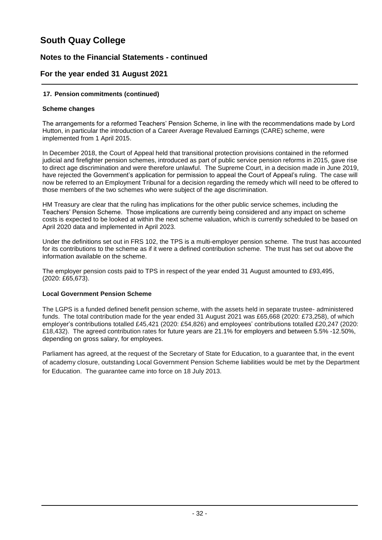### **Notes to the Financial Statements - continued**

### **For the year ended 31 August 2021**

### **17. Pension commitments (continued)**

### **Scheme changes**

The arrangements for a reformed Teachers' Pension Scheme, in line with the recommendations made by Lord Hutton, in particular the introduction of a Career Average Revalued Earnings (CARE) scheme, were implemented from 1 April 2015.

In December 2018, the Court of Appeal held that transitional protection provisions contained in the reformed judicial and firefighter pension schemes, introduced as part of public service pension reforms in 2015, gave rise to direct age discrimination and were therefore unlawful. The Supreme Court, in a decision made in June 2019, have rejected the Government's application for permission to appeal the Court of Appeal's ruling. The case will now be referred to an Employment Tribunal for a decision regarding the remedy which will need to be offered to those members of the two schemes who were subject of the age discrimination.

HM Treasury are clear that the ruling has implications for the other public service schemes, including the Teachers' Pension Scheme. Those implications are currently being considered and any impact on scheme costs is expected to be looked at within the next scheme valuation, which is currently scheduled to be based on April 2020 data and implemented in April 2023.

Under the definitions set out in FRS 102, the TPS is a multi-employer pension scheme. The trust has accounted for its contributions to the scheme as if it were a defined contribution scheme. The trust has set out above the information available on the scheme.

The employer pension costs paid to TPS in respect of the year ended 31 August amounted to £93,495, (2020: £65,673).

### **Local Government Pension Scheme**

The LGPS is a funded defined benefit pension scheme, with the assets held in separate trustee- administered funds. The total contribution made for the year ended 31 August 2021 was £65,668 (2020: £73,258), of which employer's contributions totalled £45,421 (2020: £54,826) and employees' contributions totalled £20,247 (2020: £18,432). The agreed contribution rates for future years are 21.1% for employers and between 5.5% -12.50%, depending on gross salary, for employees.

Parliament has agreed, at the request of the Secretary of State for Education, to a guarantee that, in the event of academy closure, outstanding Local Government Pension Scheme liabilities would be met by the Department for Education. The guarantee came into force on 18 July 2013.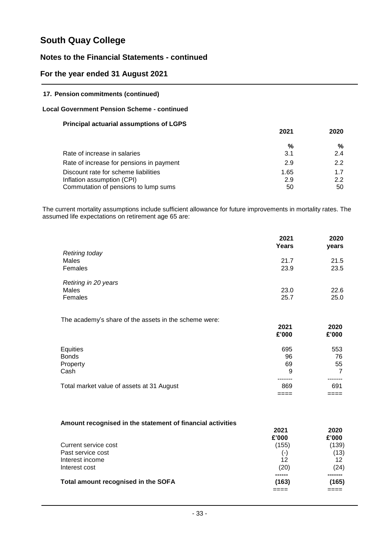### **Notes to the Financial Statements - continued**

### **For the year ended 31 August 2021**

### **17. Pension commitments (continued)**

### **Local Government Pension Scheme - continued**

### **Principal actuarial assumptions of LGPS**

|                                                                                                            | 2021              | 2020             |
|------------------------------------------------------------------------------------------------------------|-------------------|------------------|
|                                                                                                            | %                 | %                |
| Rate of increase in salaries                                                                               | 3.1               | 2.4              |
| Rate of increase for pensions in payment                                                                   | 2.9               | 2.2              |
| Discount rate for scheme liabilities<br>Inflation assumption (CPI)<br>Commutation of pensions to lump sums | 1.65<br>2.9<br>50 | 1.7<br>2.2<br>50 |

The current mortality assumptions include sufficient allowance for future improvements in mortality rates. The assumed life expectations on retirement age 65 are:

|                                                       | 2021<br>Years | 2020<br>years  |
|-------------------------------------------------------|---------------|----------------|
| <b>Retiring today</b>                                 |               |                |
| Males                                                 | 21.7          | 21.5           |
| Females                                               | 23.9          | 23.5           |
| Retiring in 20 years                                  |               |                |
| Males                                                 | 23.0          | 22.6           |
| Females                                               | 25.7          | 25.0           |
| The academy's share of the assets in the scheme were: |               |                |
|                                                       | 2021          | 2020           |
|                                                       | £'000         | £'000          |
| Equities                                              | 695           | 553            |
| <b>Bonds</b>                                          | 96            | 76             |
| Property                                              | 69            | 55             |
| Cash                                                  | 9             | $\overline{7}$ |
|                                                       |               |                |
| Total market value of assets at 31 August             | 869           | 691            |
|                                                       |               |                |

### **Amount recognised in the statement of financial activities**

|                                     | 2021  | 2020  |
|-------------------------------------|-------|-------|
|                                     | £'000 | £'000 |
| Current service cost                | (155) | (139) |
| Past service cost                   | $(-)$ | (13)  |
| Interest income                     | 12    | 12    |
| Interest cost                       | (20)  | (24)  |
|                                     |       |       |
| Total amount recognised in the SOFA | (163) | (165) |
|                                     |       |       |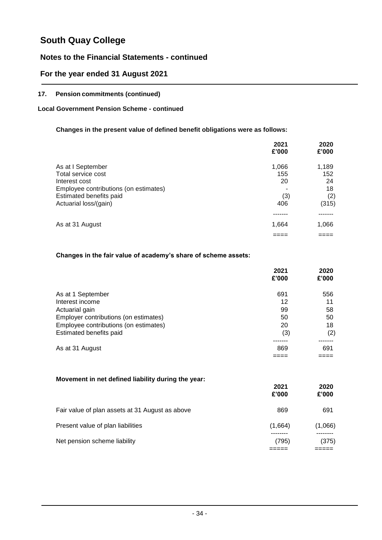### **Notes to the Financial Statements - continued**

### **For the year ended 31 August 2021**

### **17. Pension commitments (continued)**

### **Local Government Pension Scheme - continued**

### **Changes in the present value of defined benefit obligations were as follows:**

|                                       | 2021<br>£'000 | 2020<br>£'000 |
|---------------------------------------|---------------|---------------|
| As at I September                     | 1,066         | 1,189         |
| Total service cost                    | 155           | 152           |
| Interest cost                         | 20            | 24            |
| Employee contributions (on estimates) |               | 18            |
| Estimated benefits paid               | (3)           | (2)           |
| Actuarial loss/(gain)                 | 406           | (315)         |
|                                       |               |               |
| As at 31 August                       | 1,664         | 1,066         |
|                                       |               |               |

### **Changes in the fair value of academy's share of scheme assets:**

|                                       | 2021<br>£'000 | 2020<br>£'000 |
|---------------------------------------|---------------|---------------|
| As at 1 September                     | 691           | 556           |
| Interest income                       | 12            | 11            |
| Actuarial gain                        | 99            | 58            |
| Employer contributions (on estimates) | 50            | 50            |
| Employee contributions (on estimates) | 20            | 18            |
| Estimated benefits paid               | (3)           | (2)           |
|                                       |               |               |
| As at 31 August                       | 869           | 691           |
|                                       |               |               |

### **Movement in net defined liability during the year: 2021 2020 £'000 £'000** Fair value of plan assets at 31 August as above 869 869 691 Present value of plan liabilities (1,664) (1,066) -------- -------- Net pension scheme liability (795) (375) ===== =====